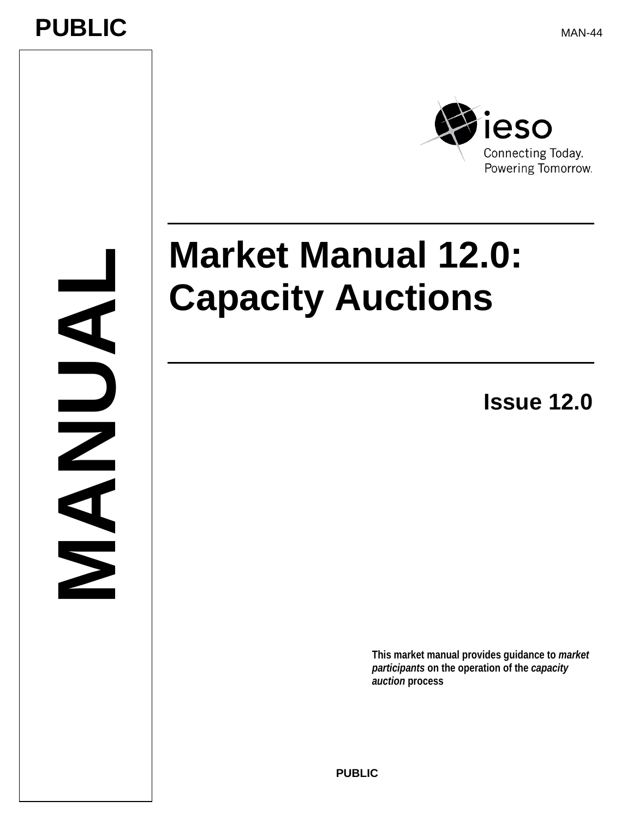## **PUBLIC**

**MANUAL**

NAM

MAN-44



# **Market Manual 12.0: Capacity Auctions**

**Issue 12.0** 

**This market manual provides guidance to** *market participants* **on the operation of the** *capacity auction* **process**

**PUBLI C**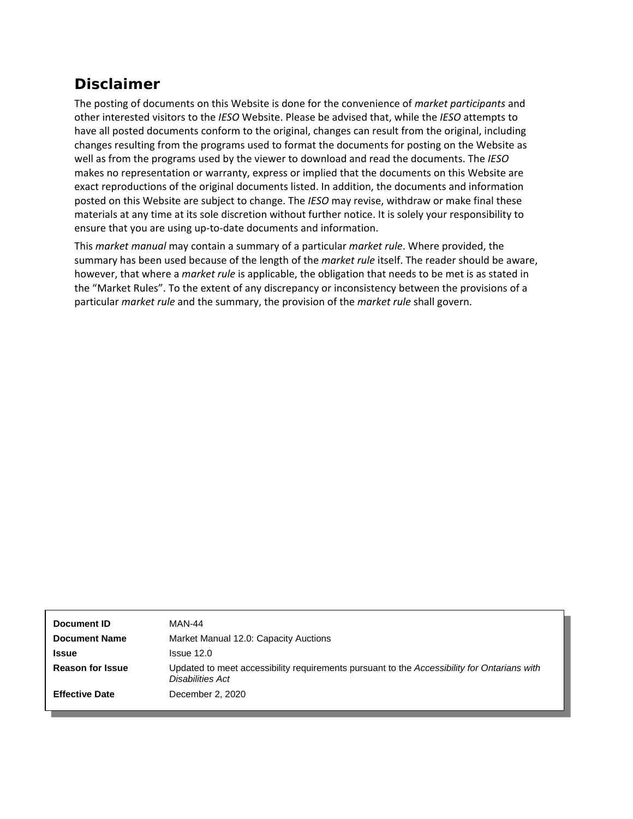## **Disclaimer**

The posting of documents on this Website is done for the convenience of *market participants* and other interested visitors to the *IESO* Website. Please be advised that, while the *IESO* attempts to have all posted documents conform to the original, changes can result from the original, including changes resulting from the programs used to format the documents for posting on the Website as well as from the programs used by the viewer to download and read the documents. The *IESO* makes no representation or warranty, express or implied that the documents on this Website are exact reproductions of the original documents listed. In addition, the documents and information posted on this Website are subject to change. The *IESO* may revise, withdraw or make final these materials at any time at its sole discretion without further notice. It is solely your responsibility to ensure that you are using up-to-date documents and information.

This *market manual* may contain a summary of a particular *market rule*. Where provided, the summary has been used because of the length of the *market rule* itself. The reader should be aware, however, that where a *market rule* is applicable, the obligation that needs to be met is as stated in the "Market Rules". To the extent of any discrepancy or inconsistency between the provisions of a particular *market rule* and the summary, the provision of the *market rule* shall govern.

| Document ID             | MAN-44                                                                                                          |
|-------------------------|-----------------------------------------------------------------------------------------------------------------|
| <b>Document Name</b>    | Market Manual 12.0: Capacity Auctions                                                                           |
| <b>Issue</b>            | Is sue <sub>12.0</sub>                                                                                          |
| <b>Reason for Issue</b> | Updated to meet accessibility requirements pursuant to the Accessibility for Ontarians with<br>Disabilities Act |
| <b>Effective Date</b>   | December 2, 2020                                                                                                |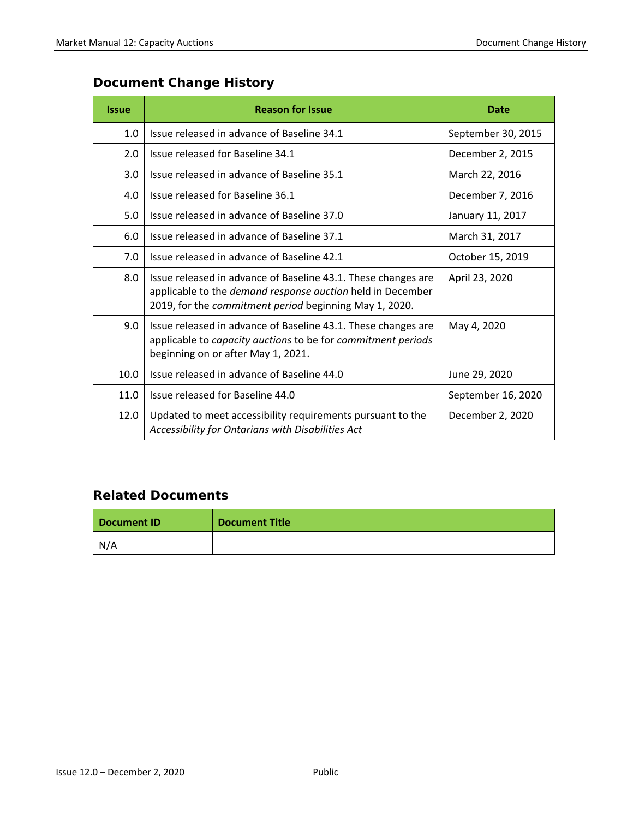## **Document Change History**

| <b>Issue</b> | <b>Reason for Issue</b>                                                                                                                                                               | <b>Date</b>        |
|--------------|---------------------------------------------------------------------------------------------------------------------------------------------------------------------------------------|--------------------|
| 1.0          | Issue released in advance of Baseline 34.1                                                                                                                                            | September 30, 2015 |
| 2.0          | Issue released for Baseline 34.1                                                                                                                                                      | December 2, 2015   |
| 3.0          | Issue released in advance of Baseline 35.1                                                                                                                                            | March 22, 2016     |
| 4.0          | Issue released for Baseline 36.1                                                                                                                                                      | December 7, 2016   |
| 5.0          | Issue released in advance of Baseline 37.0                                                                                                                                            | January 11, 2017   |
| 6.0          | Issue released in advance of Baseline 37.1                                                                                                                                            | March 31, 2017     |
| 7.0          | Issue released in advance of Baseline 42.1                                                                                                                                            | October 15, 2019   |
| 8.0          | Issue released in advance of Baseline 43.1. These changes are<br>applicable to the demand response auction held in December<br>2019, for the commitment period beginning May 1, 2020. | April 23, 2020     |
| 9.0          | Issue released in advance of Baseline 43.1. These changes are<br>applicable to capacity auctions to be for commitment periods<br>beginning on or after May 1, 2021.                   | May 4, 2020        |
| 10.0         | Issue released in advance of Baseline 44.0                                                                                                                                            | June 29, 2020      |
| 11.0         | Issue released for Baseline 44.0                                                                                                                                                      | September 16, 2020 |
| 12.0         | Updated to meet accessibility requirements pursuant to the<br>Accessibility for Ontarians with Disabilities Act                                                                       | December 2, 2020   |

### **Related Documents**

| Document ID | <b>Document Title</b> |
|-------------|-----------------------|
| N/A         |                       |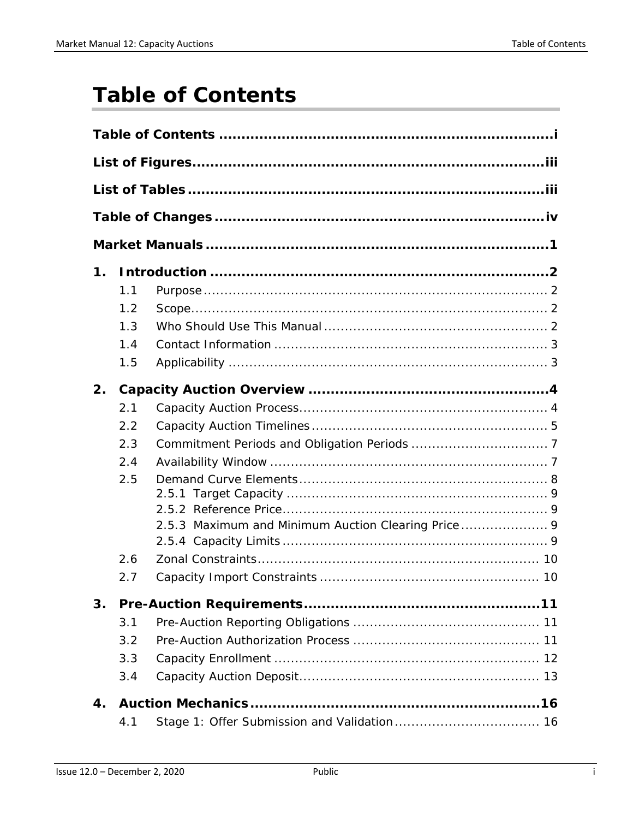## <span id="page-3-0"></span>**Table of Contents**

| 1. |     |  |
|----|-----|--|
|    | 1.1 |  |
|    | 1.2 |  |
|    | 1.3 |  |
|    | 1.4 |  |
|    | 1.5 |  |
| 2. |     |  |
|    | 2.1 |  |
|    | 2.2 |  |
|    | 2.3 |  |
|    | 2.4 |  |
|    | 2.5 |  |
|    |     |  |
|    |     |  |
|    |     |  |
|    | 2.6 |  |
|    |     |  |
|    | 2.7 |  |
| 3. |     |  |
|    | 3.1 |  |
|    | 3.2 |  |
|    | 3.3 |  |
|    | 3.4 |  |
| 4. |     |  |
|    | 4.1 |  |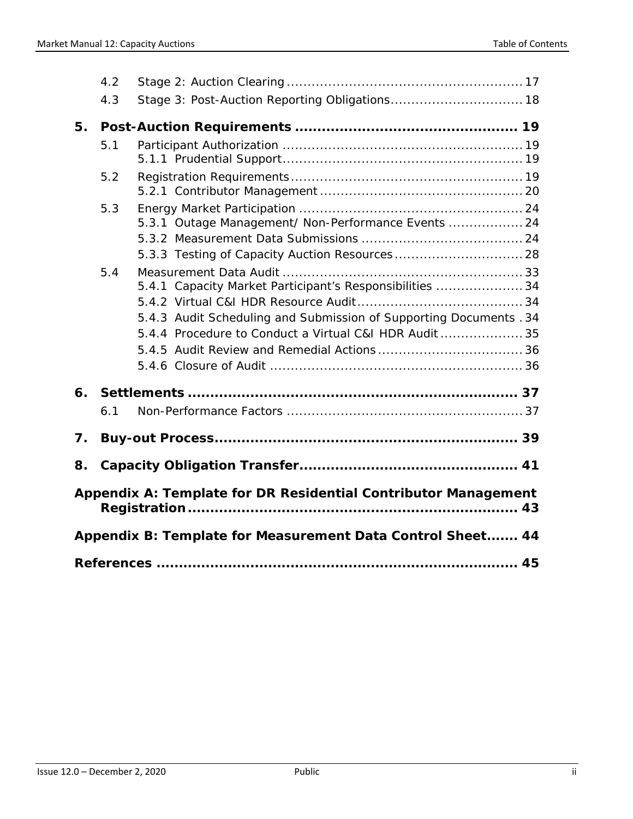|    | 4.2 |                                                                                                                                                                                          |  |
|----|-----|------------------------------------------------------------------------------------------------------------------------------------------------------------------------------------------|--|
|    | 4.3 |                                                                                                                                                                                          |  |
| 5. |     |                                                                                                                                                                                          |  |
|    | 5.1 |                                                                                                                                                                                          |  |
|    | 5.2 |                                                                                                                                                                                          |  |
|    | 5.3 | 5.3.1 Outage Management/ Non-Performance Events  24                                                                                                                                      |  |
|    | 5.4 | 5.4.1 Capacity Market Participant's Responsibilities  34<br>5.4.3 Audit Scheduling and Submission of Supporting Documents . 34<br>5.4.4 Procedure to Conduct a Virtual C&I HDR Audit  35 |  |
| 6. |     |                                                                                                                                                                                          |  |
|    | 6.1 |                                                                                                                                                                                          |  |
| 7. |     |                                                                                                                                                                                          |  |
| 8. |     |                                                                                                                                                                                          |  |
|    |     | Appendix A: Template for DR Residential Contributor Management                                                                                                                           |  |
|    |     | Appendix B: Template for Measurement Data Control Sheet 44                                                                                                                               |  |
|    |     |                                                                                                                                                                                          |  |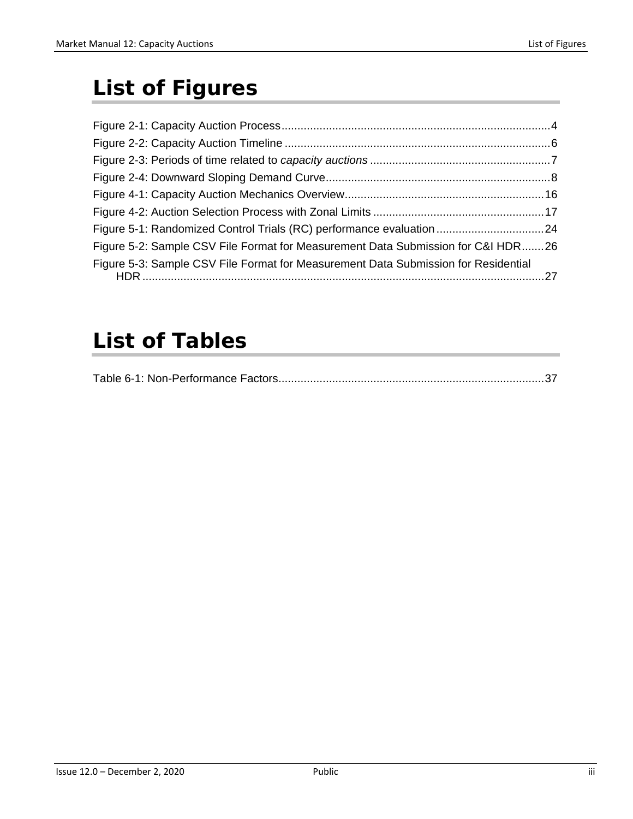## <span id="page-5-0"></span>**List of Figures**

| Figure 5-2: Sample CSV File Format for Measurement Data Submission for C&I HDR26   |  |
|------------------------------------------------------------------------------------|--|
| Figure 5-3: Sample CSV File Format for Measurement Data Submission for Residential |  |

## <span id="page-5-1"></span>**List of Tables**

|--|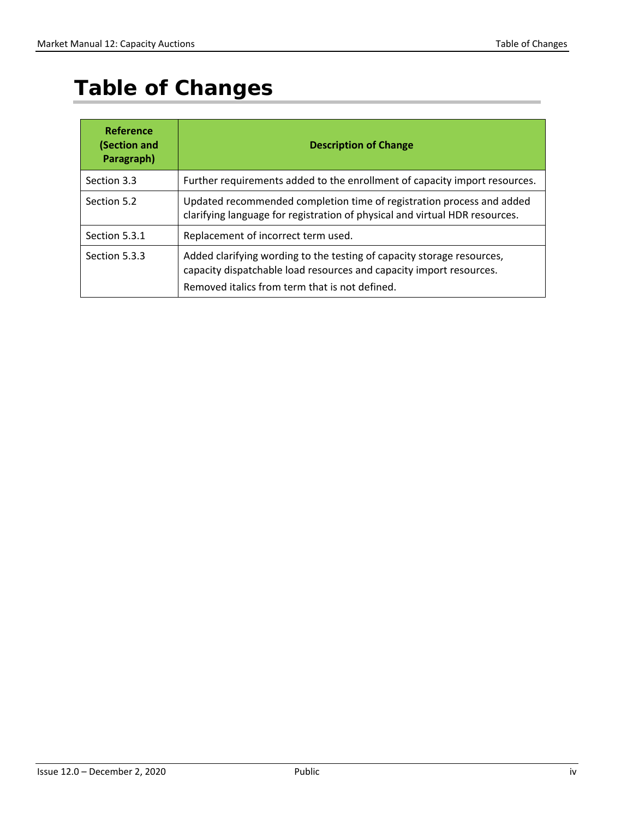## <span id="page-6-0"></span>**Table of Changes**

| Reference<br>(Section and<br>Paragraph) | <b>Description of Change</b>                                                                                                                                                                    |  |
|-----------------------------------------|-------------------------------------------------------------------------------------------------------------------------------------------------------------------------------------------------|--|
| Section 3.3                             | Further requirements added to the enrollment of capacity import resources.                                                                                                                      |  |
| Section 5.2                             | Updated recommended completion time of registration process and added<br>clarifying language for registration of physical and virtual HDR resources.                                            |  |
| Section 5.3.1                           | Replacement of incorrect term used.                                                                                                                                                             |  |
| Section 5.3.3                           | Added clarifying wording to the testing of capacity storage resources,<br>capacity dispatchable load resources and capacity import resources.<br>Removed italics from term that is not defined. |  |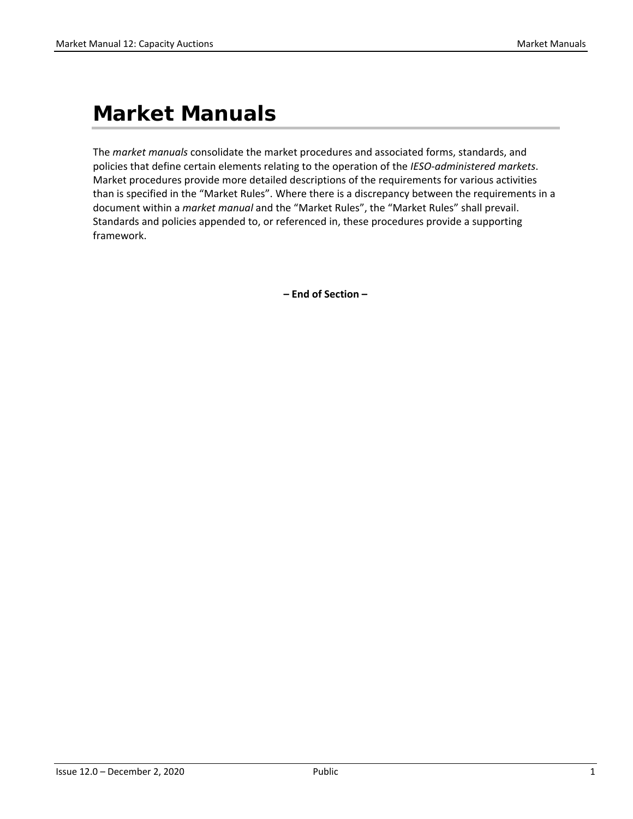## <span id="page-7-0"></span>**Market Manuals**

The *market manuals* consolidate the market procedures and associated forms, standards, and policies that define certain elements relating to the operation of the *IESO-administered markets*. Market procedures provide more detailed descriptions of the requirements for various activities than is specified in the "Market Rules". Where there is a discrepancy between the requirements in a document within a *market manual* and the "Market Rules", the "Market Rules" shall prevail. Standards and policies appended to, or referenced in, these procedures provide a supporting framework.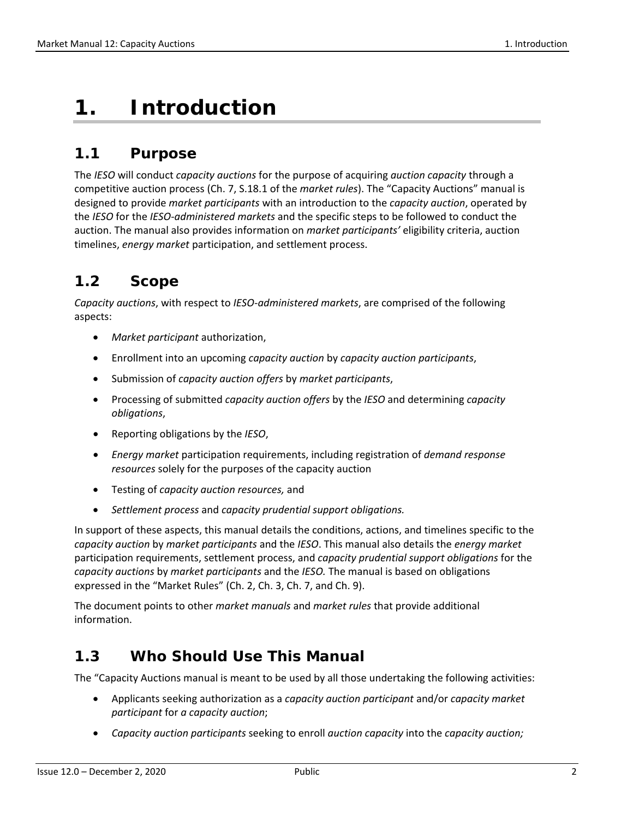## <span id="page-8-0"></span>**1. Introduction**

## <span id="page-8-1"></span>**1.1 Purpose**

The *IESO* will conduct *capacity auctions* for the purpose of acquiring *auction capacity* through a competitive auction process (Ch. 7, S.18.1 of the *market rules*). The "Capacity Auctions" manual is designed to provide *market participants* with an introduction to the *capacity auction*, operated by the *IESO* for the *IESO-administered markets* and the specific steps to be followed to conduct the auction. The manual also provides information on *market participants'* eligibility criteria, auction timelines, *energy market* participation, and settlement process.

## <span id="page-8-2"></span>**1.2 Scope**

*Capacity auctions*, with respect to *IESO-administered markets*, are comprised of the following aspects:

- *Market participant* authorization,
- Enrollment into an upcoming *capacity auction* by *capacity auction participants*,
- Submission of *capacity auction offers* by *market participants*,
- Processing of submitted *capacity auction offers* by the *IESO* and determining *capacity obligations*,
- Reporting obligations by the *IESO*,
- *Energy market* participation requirements, including registration of *demand response resources* solely for the purposes of the capacity auction
- Testing of *capacity auction resources,* and
- *Settlement process* and *capacity prudential support obligations.*

In support of these aspects, this manual details the conditions, actions, and timelines specific to the *capacity auction* by *market participants* and the *IESO*. This manual also details the *energy market*  participation requirements, settlement process, and *capacity prudential support obligations* for the *capacity auctions* by *market participants* and the *IESO.* The manual is based on obligations expressed in the "Market Rules" (Ch. 2, Ch. 3, Ch. 7, and Ch. 9).

The document points to other *market manuals* and *market rules* that provide additional information.

### <span id="page-8-3"></span>**1.3 Who Should Use This Manual**

The "Capacity Auctions manual is meant to be used by all those undertaking the following activities:

- Applicants seeking authorization as a *capacity auction participant* and/or *capacity market participant* for *a capacity auction*;
- *Capacity auction participants* seeking to enroll *auction capacity* into the *capacity auction;*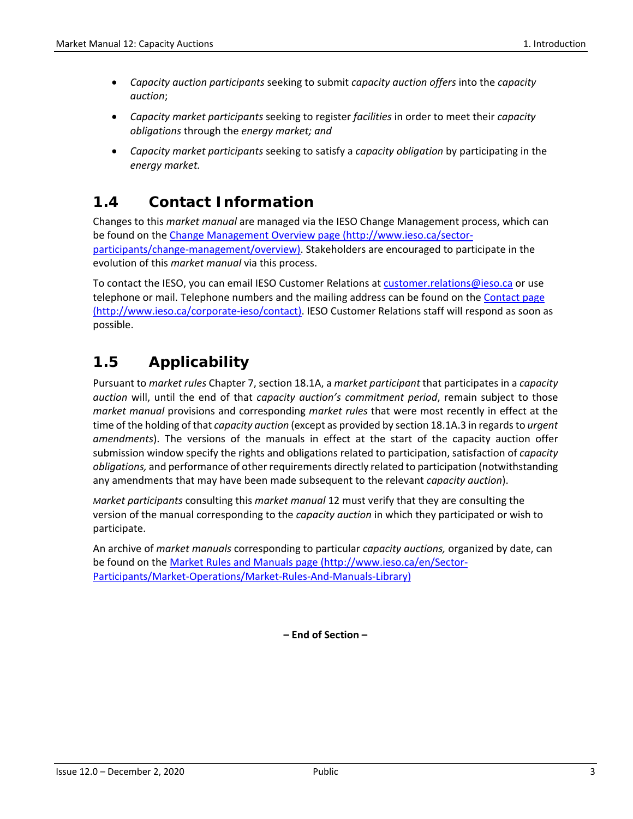- *Capacity auction participants* seeking to submit *capacity auction offers* into the *capacity auction*;
- *Capacity market participants* seeking to register *facilities* in order to meet their *capacity obligations* through the *energy market; and*
- *Capacity market participants* seeking to satisfy a *capacity obligation* by participating in the *energy market.*

## <span id="page-9-0"></span>**1.4 Contact Information**

Changes to this *market manual* are managed via the IESO Change Management process, which can be found on the [Change Management Overview page \(http://www.ieso.ca/sector](http://www.ieso.ca/sector-participants/change-management/overview)[participants/change-management/overview\).](http://www.ieso.ca/sector-participants/change-management/overview) Stakeholders are encouraged to participate in the evolution of this *market manual* via this process.

To contact the IESO, you can email IESO Customer Relations at [customer.relations@ieso.ca](mailto:customer.relations@ieso.ca) or use telephone or mail. Telephone numbers and the mailing address can be found on the Contact page (http://www.ieso.ca/corporate-ieso/contact). IESO Customer Relations staff will respond as soon as possible.

## <span id="page-9-1"></span>**1.5 Applicability**

Pursuant to *market rules* Chapter 7, section 18.1A, a *market participant* that participates in a *capacity auction* will, until the end of that *capacity auction's commitment period*, remain subject to those *market manual* provisions and corresponding *market rules* that were most recently in effect at the time of the holding of that *capacity auction* (except as provided by section 18.1A.3 in regards to *urgent amendments*). The versions of the manuals in effect at the start of the capacity auction offer submission window specify the rights and obligations related to participation, satisfaction of *capacity obligations,* and performance of other requirements directly related to participation (notwithstanding any amendments that may have been made subsequent to the relevant *capacity auction*).

*Market participants* consulting this *market manual* 12 must verify that they are consulting the version of the manual corresponding to the *capacity auction* in which they participated or wish to participate.

An archive of *market manuals* corresponding to particular *capacity auctions,* organized by date, can be found on the [Market Rules and Manuals page \(http://www.ieso.ca/en/Sector-](http://www.ieso.ca/en/Sector-Participants/Market-Operations/Market-Rules-And-Manuals-Library)[Participants/Market-Operations/Market-Rules-And-Manuals-Library\)](http://www.ieso.ca/en/Sector-Participants/Market-Operations/Market-Rules-And-Manuals-Library)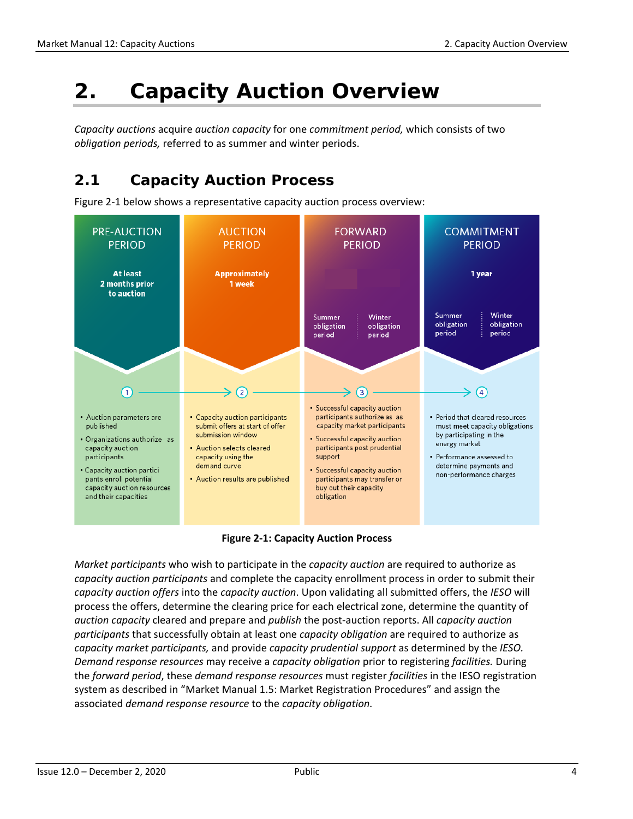## <span id="page-10-0"></span>**2. Capacity Auction Overview**

*Capacity auctions* acquire *auction capacity* for one *commitment period,* which consists of two *obligation periods,* referred to as summer and winter periods.

### <span id="page-10-1"></span>**2.1 Capacity Auction Process**

Figure 2-1 below shows a representative capacity auction process overview:



**Figure 2-1: Capacity Auction Process**

<span id="page-10-2"></span>*Market participants* who wish to participate in the *capacity auction* are required to authorize as *capacity auction participants* and complete the capacity enrollment process in order to submit their *capacity auction offers* into the *capacity auction*. Upon validating all submitted offers, the *IESO* will process the offers, determine the clearing price for each electrical zone, determine the quantity of *auction capacity* cleared and prepare and *publish* the post-auction reports. All *capacity auction participants* that successfully obtain at least one *capacity obligation* are required to authorize as *capacity market participants,* and provide *capacity prudential support* as determined by the *IESO. Demand response resources* may receive a *capacity obligation* prior to registering *facilities.* During the *forward period*, these *demand response resources* must register *facilities* in the IESO registration system as described in "Market Manual 1.5: Market Registration Procedures" and assign the associated *demand response resource* to the *capacity obligation.*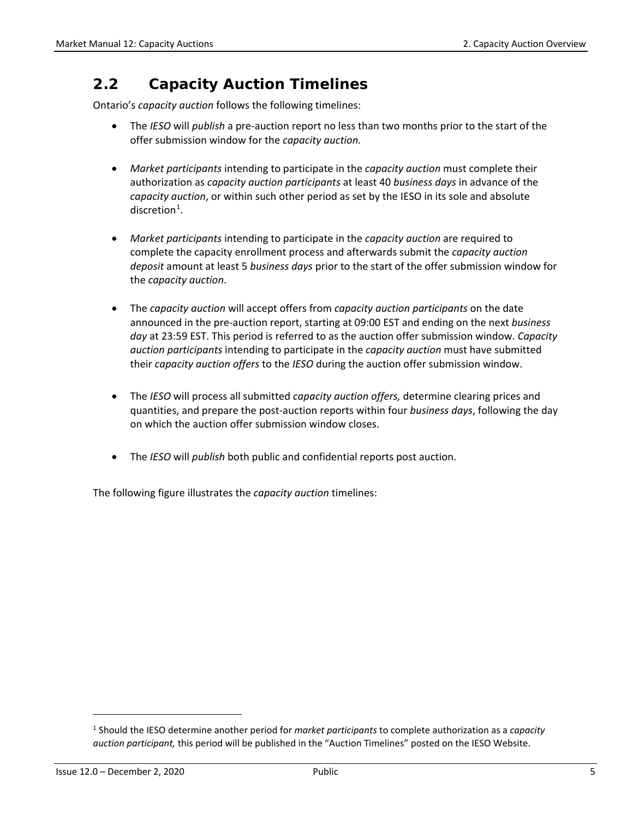## <span id="page-11-0"></span>**2.2 Capacity Auction Timelines**

Ontario's *capacity auction* follows the following timelines:

- The *IESO* will *publish* a pre-auction report no less than two months prior to the start of the offer submission window for the *capacity auction.*
- *Market participants* intending to participate in the *capacity auction* must complete their authorization as *capacity auction participants* at least 40 *business days* in advance of the *capacity auction*, or within such other period as set by the IESO in its sole and absolute  $discretion<sup>1</sup>$  $discretion<sup>1</sup>$  $discretion<sup>1</sup>$ .
- *Market participants* intending to participate in the *capacity auction* are required to complete the capacity enrollment process and afterwards submit the *capacity auction deposit* amount at least 5 *business days* prior to the start of the offer submission window for the *capacity auction*.
- The *capacity auction* will accept offers from *capacity auction participants* on the date announced in the pre-auction report, starting at 09:00 EST and ending on the next *business day* at 23:59 EST. This period is referred to as the auction offer submission window. *Capacity auction participants* intending to participate in the *capacity auction* must have submitted their *capacity auction offers* to the *IESO* during the auction offer submission window.
- The *IESO* will process all submitted *capacity auction offers,* determine clearing prices and quantities, and prepare the post-auction reports within four *business days*, following the day on which the auction offer submission window closes.
- The *IESO* will *publish* both public and confidential reports post auction.

The following figure illustrates the *capacity auction* timelines:

l

<span id="page-11-1"></span><sup>1</sup> Should the IESO determine another period for *market participants* to complete authorization as a *capacity auction participant,* this period will be published in the "Auction Timelines" posted on the IESO Website.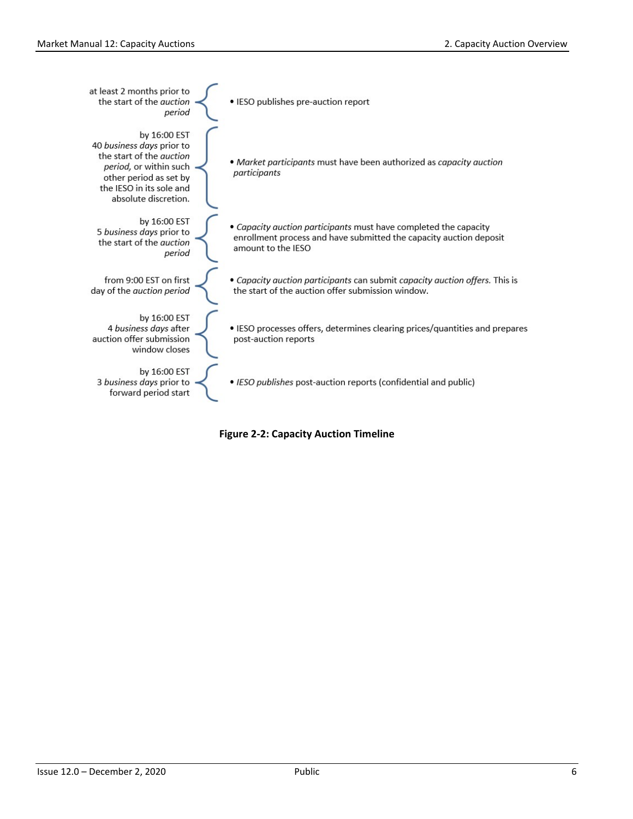| at least 2 months prior to<br>the start of the <i>quction</i><br>period                                                                                                              | • IESO publishes pre-auction report                                                                                                                          |
|--------------------------------------------------------------------------------------------------------------------------------------------------------------------------------------|--------------------------------------------------------------------------------------------------------------------------------------------------------------|
| by 16:00 EST<br>40 business days prior to<br>the start of the <i>auction</i><br>period, or within such<br>other period as set by<br>the IESO in its sole and<br>absolute discretion. | • Market participants must have been authorized as capacity auction<br>participants                                                                          |
| by 16:00 EST<br>5 business days prior to<br>the start of the <i>auction</i><br>period                                                                                                | • Capacity auction participants must have completed the capacity<br>enrollment process and have submitted the capacity auction deposit<br>amount to the IESO |
| from 9:00 EST on first<br>day of the auction period                                                                                                                                  | • Capacity auction participants can submit capacity auction offers. This is<br>the start of the auction offer submission window.                             |
| by 16:00 EST<br>4 business days after<br>auction offer submission<br>window closes                                                                                                   | • IESO processes offers, determines clearing prices/quantities and prepares<br>post-auction reports                                                          |
| by 16:00 EST<br>3 business days prior to<br>forward period start                                                                                                                     | • IESO publishes post-auction reports (confidential and public)                                                                                              |

<span id="page-12-0"></span>**Figure 2-2: Capacity Auction Timeline**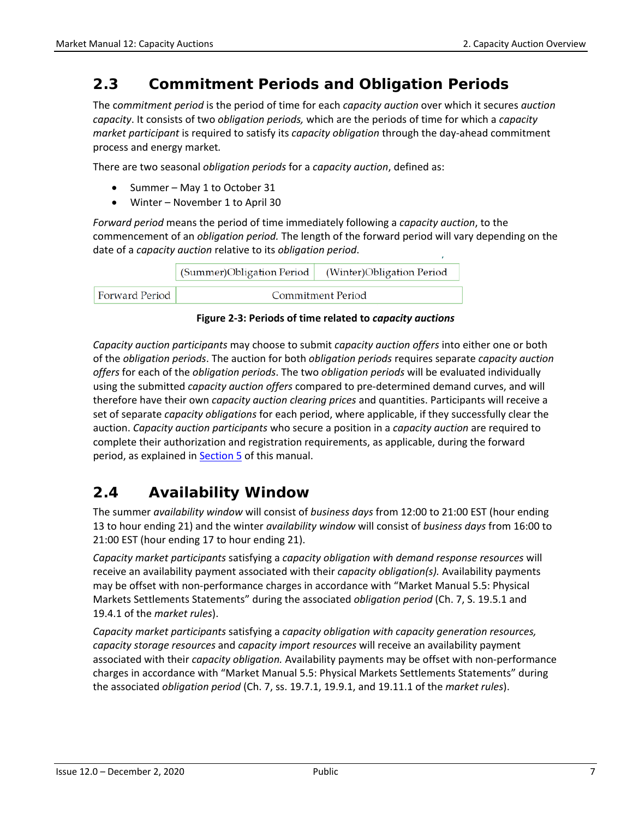## <span id="page-13-0"></span>**2.3 Commitment Periods and Obligation Periods**

The c*ommitment period* is the period of time for each *capacity auction* over which it secures *auction capacity*. It consists of two *obligation periods,* which are the periods of time for which a *capacity market participant* is required to satisfy its *capacity obligation* through the day-ahead commitment process and energy market*.* 

There are two seasonal *obligation periods* for a *capacity auction*, defined as:

- Summer May 1 to October 31
- Winter November 1 to April 30

*Forward period* means the period of time immediately following a *capacity auction*, to the commencement of an *obligation period.* The length of the forward period will vary depending on the date of a *capacity auction* relative to its *obligation period*.

|                | (Summer)Obligation Period   (Winter)Obligation Period |                   |
|----------------|-------------------------------------------------------|-------------------|
| Forward Period |                                                       | Commitment Period |

**Figure 2-3: Periods of time related to** *capacity auctions*

<span id="page-13-2"></span>*Capacity auction participants* may choose to submit *capacity auction offers* into either one or both of the *obligation periods*. The auction for both *obligation periods* requires separate *capacity auction offers* for each of the *obligation periods*. The two *obligation periods* will be evaluated individually using the submitted *capacity auction offers* compared to pre-determined demand curves, and will therefore have their own *capacity auction clearing prices* and quantities. Participants will receive a set of separate *capacity obligations* for each period, where applicable, if they successfully clear the auction. *Capacity auction participants* who secure a position in a *capacity auction* are required to complete their authorization and registration requirements, as applicable, during the forward period, as explained in [Section 5](#page-25-0) of this manual.

## <span id="page-13-1"></span>**2.4 Availability Window**

The summer *availability window* will consist of *business days* from 12:00 to 21:00 EST (hour ending 13 to hour ending 21) and the winter *availability window* will consist of *business days* from 16:00 to 21:00 EST (hour ending 17 to hour ending 21).

*Capacity market participants* satisfying a *capacity obligation with demand response resources* will receive an availability payment associated with their *capacity obligation(s).* Availability payments may be offset with non-performance charges in accordance with "Market Manual 5.5: Physical Markets Settlements Statements" during the associated *obligation period* (Ch. 7, S. 19.5.1 and 19.4.1 of the *market rules*).

*Capacity market participants* satisfying a *capacity obligation with capacity generation resources, capacity storage resources* and *capacity import resources* will receive an availability payment associated with their *capacity obligation.* Availability payments may be offset with non-performance charges in accordance with "Market Manual 5.5: Physical Markets Settlements Statements" during the associated *obligation period* (Ch. 7, ss. 19.7.1, 19.9.1, and 19.11.1 of the *market rules*).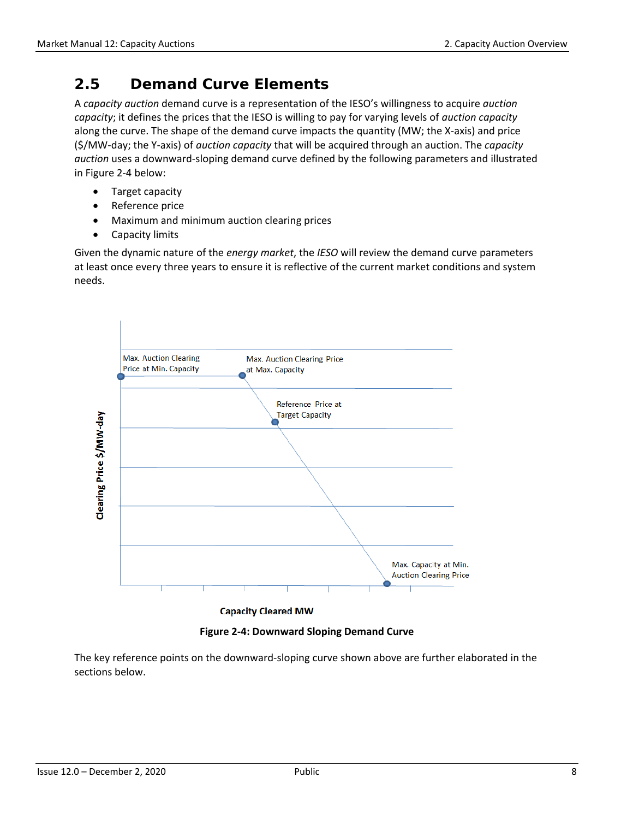## <span id="page-14-0"></span>**2.5 Demand Curve Elements**

A *capacity auction* demand curve is a representation of the IESO's willingness to acquire *auction capacity*; it defines the prices that the IESO is willing to pay for varying levels of *auction capacity* along the curve. The shape of the demand curve impacts the quantity (MW; the X-axis) and price (\$/MW-day; the Y-axis) of *auction capacity* that will be acquired through an auction. The *capacity auction* uses a downward-sloping demand curve defined by the following parameters and illustrated in Figure 2-4 below:

- Target capacity
- Reference price
- Maximum and minimum auction clearing prices
- Capacity limits

Given the dynamic nature of the *energy market*, the *IESO* will review the demand curve parameters at least once every three years to ensure it is reflective of the current market conditions and system needs.



**Figure 2-4: Downward Sloping Demand Curve** 

<span id="page-14-1"></span>The key reference points on the downward-sloping curve shown above are further elaborated in the sections below.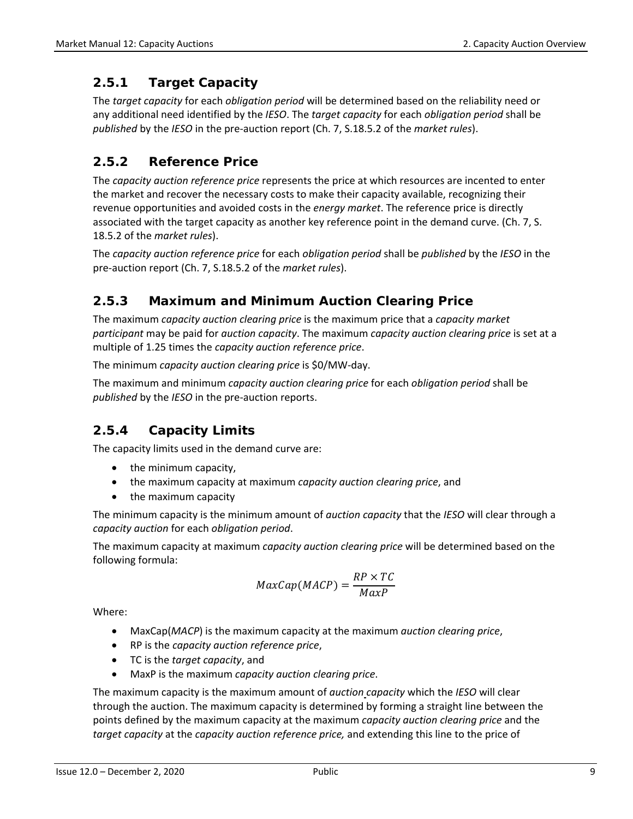### <span id="page-15-0"></span>**2.5.1 Target Capacity**

The *target capacity* for each *obligation period* will be determined based on the reliability need or any additional need identified by the *IESO*. The *target capacity* for each *obligation period* shall be *published* by the *IESO* in the pre-auction report (Ch. 7, S.18.5.2 of the *market rules*).

### <span id="page-15-1"></span>**2.5.2 Reference Price**

The *capacity auction reference price* represents the price at which resources are incented to enter the market and recover the necessary costs to make their capacity available, recognizing their revenue opportunities and avoided costs in the *energy market*. The reference price is directly associated with the target capacity as another key reference point in the demand curve. (Ch. 7, S. 18.5.2 of the *market rules*).

The *capacity auction reference price* for each *obligation period* shall be *published* by the *IESO* in the pre-auction report (Ch. 7, S.18.5.2 of the *market rules*).

### <span id="page-15-2"></span>**2.5.3 Maximum and Minimum Auction Clearing Price**

The maximum *capacity auction clearing price* is the maximum price that a *capacity market participant* may be paid for *auction capacity*. The maximum *capacity auction clearing price* is set at a multiple of 1.25 times the *capacity auction reference price*.

The minimum *capacity auction clearing price* is \$0/MW-day.

The maximum and minimum *capacity auction clearing price* for each *obligation period* shall be *published* by the *IESO* in the pre-auction reports.

### <span id="page-15-3"></span>**2.5.4 Capacity Limits**

The capacity limits used in the demand curve are:

- the minimum capacity,
- the maximum capacity at maximum *capacity auction clearing price*, and
- the maximum capacity

The minimum capacity is the minimum amount of *auction capacity* that the *IESO* will clear through a *capacity auction* for each *obligation period*.

The maximum capacity at maximum *capacity auction clearing price* will be determined based on the following formula:

$$
MaxCap(MACP) = \frac{RP \times TC}{MaxP}
$$

Where:

- MaxCap(*MACP*) is the maximum capacity at the maximum *auction clearing price*,
- RP is the *capacity auction reference price*,
- TC is the *target capacity*, and
- MaxP is the maximum *capacity auction clearing price*.

The maximum capacity is the maximum amount of *auction capacity* which the *IESO* will clear through the auction. The maximum capacity is determined by forming a straight line between the points defined by the maximum capacity at the maximum *capacity auction clearing price* and the *target capacity* at the *capacity auction reference price,* and extending this line to the price of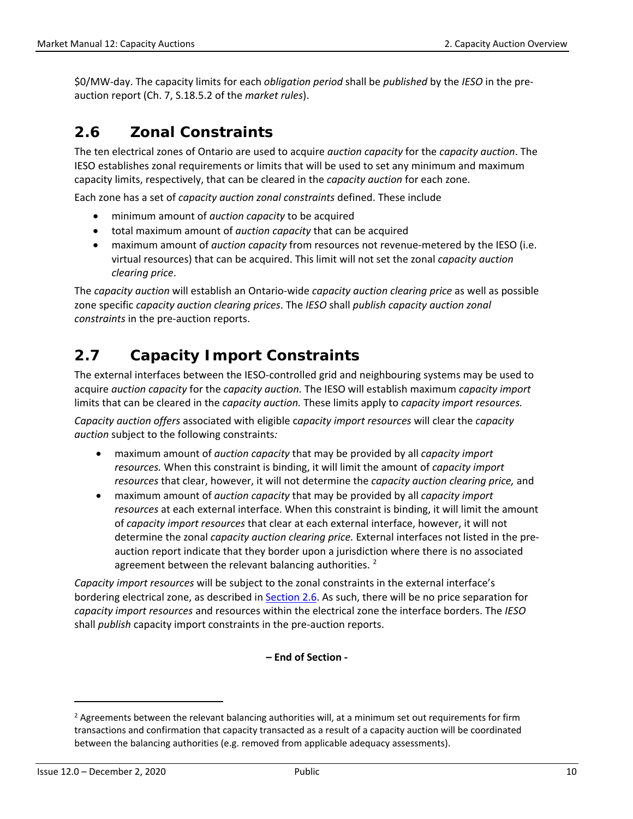\$0/MW-day. The capacity limits for each *obligation period* shall be *published* by the *IESO* in the preauction report (Ch. 7, S.18.5.2 of the *market rules*).

## <span id="page-16-0"></span>**2.6 Zonal Constraints**

The ten electrical zones of Ontario are used to acquire *auction capacity* for the *capacity auction*. The IESO establishes zonal requirements or limits that will be used to set any minimum and maximum capacity limits, respectively, that can be cleared in the *capacity auction* for each zone.

Each zone has a set of *capacity auction zonal constraints* defined. These include

- minimum amount of *auction capacity* to be acquired
- total maximum amount of *auction capacity* that can be acquired
- maximum amount of *auction capacity* from resources not revenue-metered by the IESO (i.e. virtual resources) that can be acquired. This limit will not set the zonal *capacity auction clearing price*.

The *capacity auction* will establish an Ontario-wide *capacity auction clearing price* as well as possible zone specific *capacity auction clearing prices*. The *IESO* shall *publish capacity auction zonal constraints* in the pre-auction reports.

## <span id="page-16-1"></span>**2.7 Capacity Import Constraints**

The external interfaces between the IESO-controlled grid and neighbouring systems may be used to acquire *auction capacity* for the *capacity auction.* The IESO will establish maximum *capacity import* limits that can be cleared in the *capacity auction.* These limits apply to *capacity import resources.* 

*Capacity auction offers* associated with eligible c*apacity import resources* will clear the *capacity auction* subject to the following constraints*:* 

- maximum amount of *auction capacity* that may be provided by all *capacity import resources.* When this constraint is binding, it will limit the amount of *capacity import resources* that clear, however, it will not determine the *capacity auction clearing price,* and
- maximum amount of *auction capacity* that may be provided by all *capacity import resources* at each external interface. When this constraint is binding, it will limit the amount of *capacity import resources* that clear at each external interface, however, it will not determine the zonal *capacity auction clearing price.* External interfaces not listed in the preauction report indicate that they border upon a jurisdiction where there is no associated agreement between the relevant balancing authorities.  $2^2$  $2^2$

*Capacity import resources* will be subject to the zonal constraints in the external interface's bordering electrical zone, as described in [Section 2.6.](#page-16-0) As such, there will be no price separation for *capacity import resources* and resources within the electrical zone the interface borders. The *IESO* shall *publish* capacity import constraints in the pre-auction reports.

**– End of Section -**

 $\overline{\phantom{a}}$ 

<span id="page-16-2"></span><sup>&</sup>lt;sup>2</sup> Agreements between the relevant balancing authorities will, at a minimum set out requirements for firm transactions and confirmation that capacity transacted as a result of a capacity auction will be coordinated between the balancing authorities (e.g. removed from applicable adequacy assessments).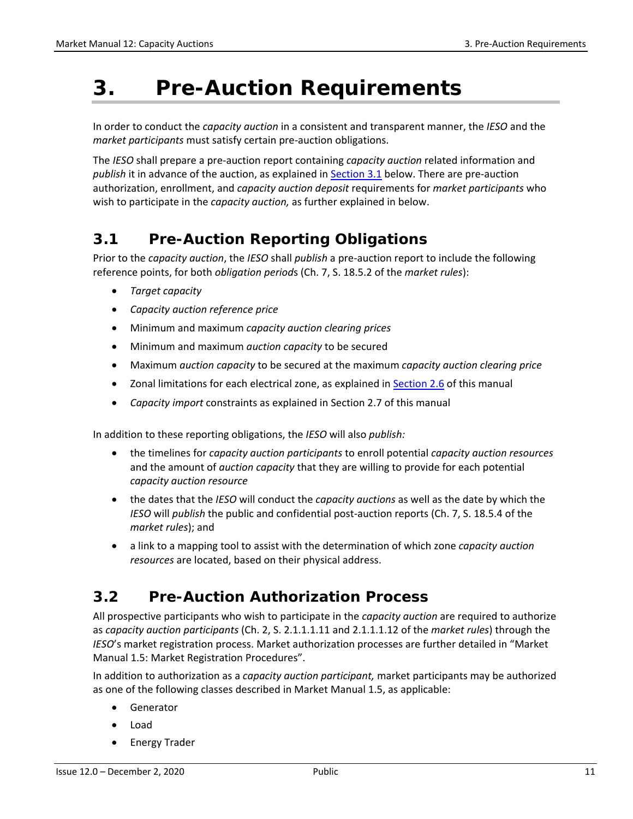## <span id="page-17-0"></span>**3. Pre-Auction Requirements**

In order to conduct the *capacity auction* in a consistent and transparent manner, the *IESO* and the *market participants* must satisfy certain pre-auction obligations.

The *IESO* shall prepare a pre-auction report containing *capacity auction* related information and *publish* it in advance of the auction, as explained in [Section 3.1](#page-17-1) below. There are pre-auction authorization, enrollment, and *capacity auction deposit* requirements for *market participants* who wish to participate in the *capacity auction,* as further explained in below.

## <span id="page-17-1"></span>**3.1 Pre-Auction Reporting Obligations**

Prior to the *capacity auction*, the *IESO* shall *publish* a pre-auction report to include the following reference points, for both *obligation period*s (Ch. 7, S. 18.5.2 of the *market rules*):

- *Target capacity*
- *Capacity auction reference price*
- Minimum and maximum *capacity auction clearing prices*
- Minimum and maximum *auction capacity* to be secured
- Maximum *auction capacity* to be secured at the maximum *capacity auction clearing price*
- Zonal limitations for each electrical zone, as explained in [Section 2.6](#page-16-0) of this manual
- *Capacity import* constraints as explained in Section [2.7](#page-16-1) of this manual

In addition to these reporting obligations, the *IESO* will also *publish:* 

- the timelines for *capacity auction participants* to enroll potential *capacity auction resources* and the amount of *auction capacity* that they are willing to provide for each potential *capacity auction resource*
- the dates that the *IESO* will conduct the *capacity auctions* as well as the date by which the *IESO* will *publish* the public and confidential post-auction reports (Ch. 7, S. 18.5.4 of the *market rules*); and
- a link to a mapping tool to assist with the determination of which zone *capacity auction resources* are located, based on their physical address.

## <span id="page-17-2"></span>**3.2 Pre-Auction Authorization Process**

All prospective participants who wish to participate in the *capacity auction* are required to authorize as *capacity auction participants* (Ch. 2, S. 2.1.1.1.11 and 2.1.1.1.12 of the *market rules*) through the *IESO*'s market registration process. Market authorization processes are further detailed in "Market Manual 1.5: Market Registration Procedures".

In addition to authorization as a *capacity auction participant,* market participants may be authorized as one of the following classes described in Market Manual 1.5, as applicable:

- Generator
- Load
- Energy Trader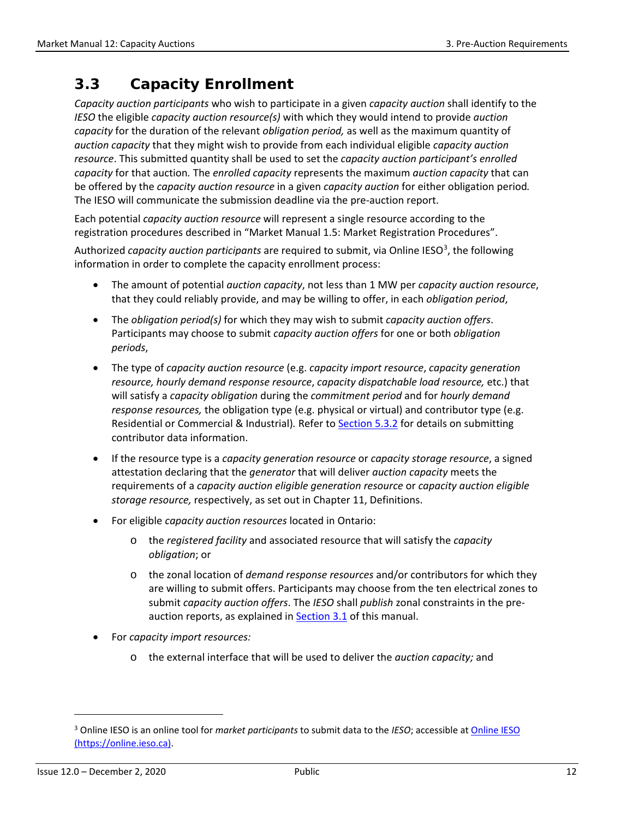## <span id="page-18-0"></span>**3.3 Capacity Enrollment**

*Capacity auction participants* who wish to participate in a given *capacity auction* shall identify to the *IESO* the eligible *capacity auction resource(s)* with which they would intend to provide *auction capacity* for the duration of the relevant *obligation period,* as well as the maximum quantity of *auction capacity* that they might wish to provide from each individual eligible *capacity auction resource*. This submitted quantity shall be used to set the *capacity auction participant's enrolled capacity* for that auction*.* The *enrolled capacity* represents the maximum *auction capacity* that can be offered by the *capacity auction resource* in a given *capacity auction* for either obligation period*.*  The IESO will communicate the submission deadline via the pre-auction report.

Each potential *capacity auction resource* will represent a single resource according to the registration procedures described in "Market Manual 1.5: Market Registration Procedures".

Authorized *capacity auction participants* are required to submit, via Online IESO<sup>[3](#page-18-1)</sup>, the following information in order to complete the capacity enrollment process:

- The amount of potential *auction capacity*, not less than 1 MW per *capacity auction resource*, that they could reliably provide, and may be willing to offer, in each *obligation period*,
- The *obligation period(s)* for which they may wish to submit *capacity auction offers*. Participants may choose to submit *capacity auction offers* for one or both *obligation periods*,
- The type of *capacity auction resource* (e.g. *capacity import resource*, *capacity generation resource, hourly demand response resource*, *capacity dispatchable load resource,* etc.) that will satisfy a *capacity obligation* during the *commitment period* and for *hourly demand response resources,* the obligation type (e.g. physical or virtual) and contributor type (e.g. Residential or Commercial & Industrial)*.* Refer to [Section 5.3.2](#page-30-2) for details on submitting contributor data information.
- If the resource type is a *capacity generation resource* or *capacity storage resource*, a signed attestation declaring that the *generator* that will deliver *auction capacity* meets the requirements of a *capacity auction eligible generation resource* or *capacity auction eligible storage resource,* respectively, as set out in Chapter 11, Definitions.
- For eligible *capacity auction resources* located in Ontario:
	- o the *registered facility* and associated resource that will satisfy the *capacity obligation*; or
	- o the zonal location of *demand response resources* and/or contributors for which they are willing to submit offers. Participants may choose from the ten electrical zones to submit *capacity auction offers*. The *IESO* shall *publish* zonal constraints in the preauction reports, as explained i[n Section 3.1](#page-17-1) of this manual.
- For *capacity import resources:*
	- o the external interface that will be used to deliver the *auction capacity;* and

l

<span id="page-18-1"></span><sup>3</sup> Online IESO is an online tool for *market participants* to submit data to the *IESO*; accessible a[t Online IESO](https://online.ieso.ca/)  [\(https://online.ieso.ca\).](https://online.ieso.ca/)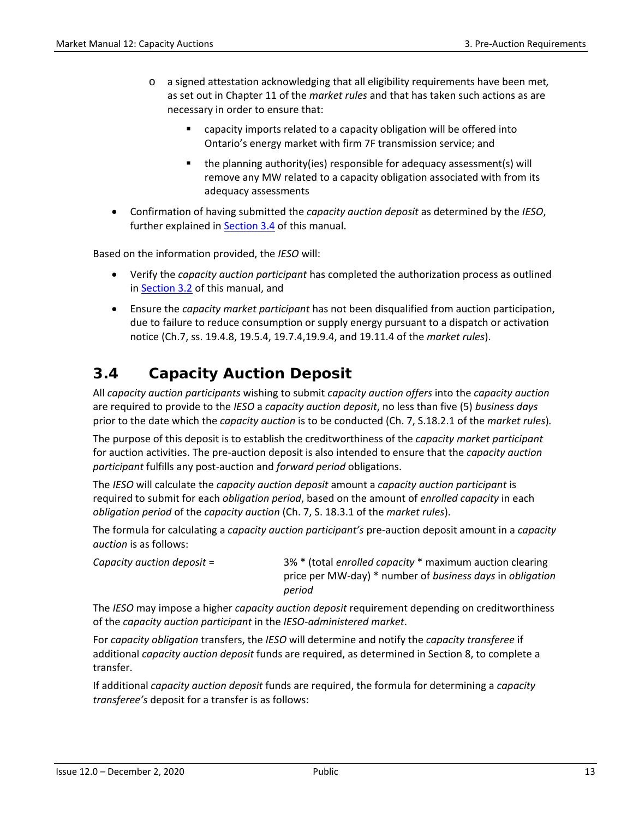- o a signed attestation acknowledging that all eligibility requirements have been met*,*  as set out in Chapter 11 of the *market rules* and that has taken such actions as are necessary in order to ensure that:
	- capacity imports related to a capacity obligation will be offered into Ontario's energy market with firm 7F transmission service; and
	- $\blacksquare$  the planning authority(ies) responsible for adequacy assessment(s) will remove any MW related to a capacity obligation associated with from its adequacy assessments
- Confirmation of having submitted the *capacity auction deposit* as determined by the *IESO*, further explained in [Section 3.4](#page-19-0) of this manual.

Based on the information provided, the *IESO* will:

- Verify the *capacity auction participant* has completed the authorization process as outlined in [Section 3.2](#page-17-2) of this manual, and
- Ensure the *capacity market participant* has not been disqualified from auction participation, due to failure to reduce consumption or supply energy pursuant to a dispatch or activation notice (Ch.7, ss. 19.4.8, 19.5.4, 19.7.4,19.9.4, and 19.11.4 of the *market rules*).

## <span id="page-19-0"></span>**3.4 Capacity Auction Deposit**

All *capacity auction participants* wishing to submit *capacity auction offers* into the *capacity auction* are required to provide to the *IESO* a *capacity auction deposit*, no less than five (5) *business days* prior to the date which the *capacity auction* is to be conducted (Ch. 7, S.18.2.1 of the *market rules*)*.* 

The purpose of this deposit is to establish the creditworthiness of the *capacity market participant* for auction activities. The pre-auction deposit is also intended to ensure that the *capacity auction participant* fulfills any post-auction and *forward period* obligations.

The *IESO* will calculate the *capacity auction deposit* amount a *capacity auction participant* is required to submit for each *obligation period*, based on the amount of *enrolled capacity* in each *obligation period* of the *capacity auction* (Ch. 7, S. 18.3.1 of the *market rules*).

The formula for calculating a *capacity auction participant's* pre-auction deposit amount in a *capacity auction* is as follows:

| Capacity auction deposit $=$ | 3% * (total enrolled capacity * maximum auction clearing  |
|------------------------------|-----------------------------------------------------------|
|                              | price per MW-day) * number of business days in obligation |
|                              | period                                                    |

The *IESO* may impose a higher *capacity auction deposit* requirement depending on creditworthiness of the *capacity auction participant* in the *IESO-administered market*.

For *capacity obligation* transfers, the *IESO* will determine and notify the *capacity transferee* if additional *capacity auction deposit* funds are required, as determined in Section 8, to complete a transfer.

If additional *capacity auction deposit* funds are required, the formula for determining a *capacity transferee's* deposit for a transfer is as follows: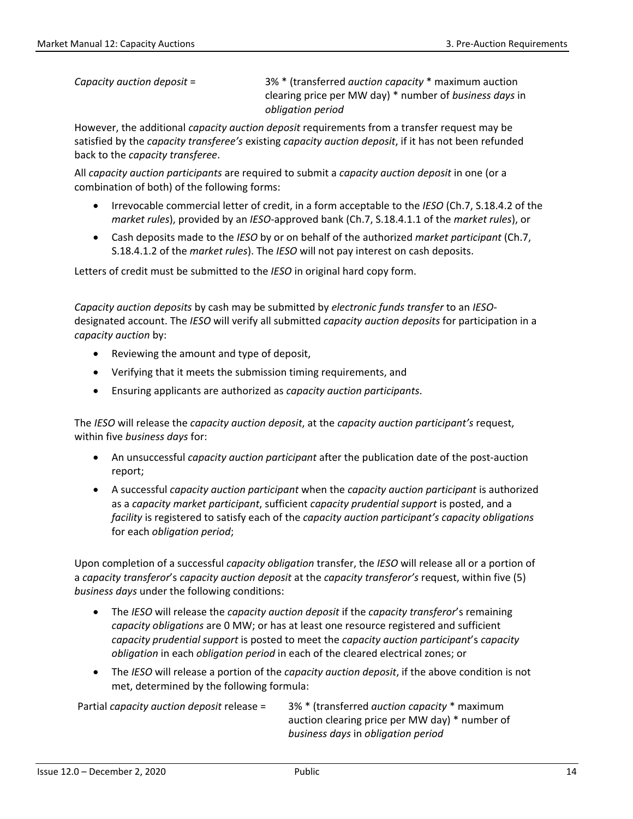*Capacity auction deposit* = 3% \* (transferred *auction capacity* \* maximum auction clearing price per MW day) \* number of *business days* in *obligation period*

However, the additional *capacity auction deposit* requirements from a transfer request may be satisfied by the *capacity transferee's* existing *capacity auction deposit*, if it has not been refunded back to the *capacity transferee*.

All *capacity auction participants* are required to submit a *capacity auction deposit* in one (or a combination of both) of the following forms:

- Irrevocable commercial letter of credit, in a form acceptable to the *IESO* (Ch.7, S.18.4.2 of the *market rules*), provided by an *IESO*-approved bank (Ch.7, S.18.4.1.1 of the *market rules*), or
- Cash deposits made to the *IESO* by or on behalf of the authorized *market participant* (Ch.7, S.18.4.1.2 of the *market rules*). The *IESO* will not pay interest on cash deposits.

Letters of credit must be submitted to the *IESO* in original hard copy form.

*Capacity auction deposits* by cash may be submitted by *electronic funds transfer* to an *IESO*designated account. The *IESO* will verify all submitted *capacity auction deposits* for participation in a *capacity auction* by:

- Reviewing the amount and type of deposit,
- Verifying that it meets the submission timing requirements, and
- Ensuring applicants are authorized as *capacity auction participants*.

The *IESO* will release the *capacity auction deposit*, at the *capacity auction participant's* request, within five *business days* for:

- An unsuccessful *capacity auction participant* after the publication date of the post-auction report;
- A successful *capacity auction participant* when the *capacity auction participant* is authorized as a *capacity market participant*, sufficient *capacity prudential support* is posted, and a *facility* is registered to satisfy each of the *capacity auction participant's capacity obligations* for each *obligation period*;

Upon completion of a successful *capacity obligation* transfer, the *IESO* will release all or a portion of a *capacity transferor*'s *capacity auction deposit* at the *capacity transferor's* request, within five (5) *business days* under the following conditions:

- The *IESO* will release the *capacity auction deposit* if the *capacity transferor*'s remaining *capacity obligations* are 0 MW; or has at least one resource registered and sufficient *capacity prudential support* is posted to meet the *capacity auction participant*'s *capacity obligation* in each *obligation period* in each of the cleared electrical zones; or
- The *IESO* will release a portion of the *capacity auction deposit*, if the above condition is not met, determined by the following formula:

Partial *capacity auction deposit* release = 3% \* (transferred *auction capacity* \* maximum auction clearing price per MW day) \* number of *business days* in *obligation period*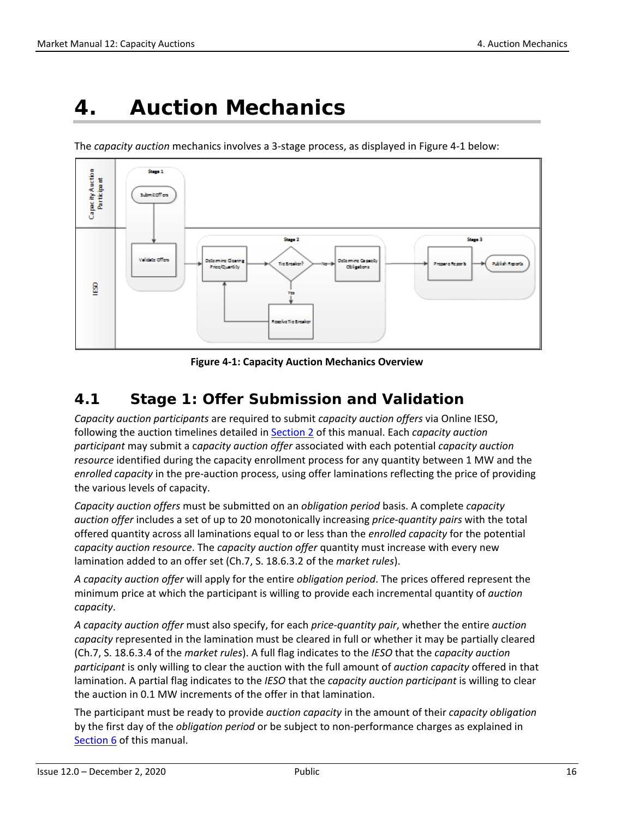## <span id="page-22-0"></span>**4. Auction Mechanics**

The *capacity auction* mechanics involves a 3-stage process, as displayed in Figure 4-1 below:



**Figure 4-1: Capacity Auction Mechanics Overview**

### <span id="page-22-2"></span><span id="page-22-1"></span>**4.1 Stage 1: Offer Submission and Validation**

*Capacity auction participants* are required to submit *capacity auction offers* via Online IESO, following the auction timelines detailed i[n Section 2](#page-11-0) of this manual. Each *capacity auction participant* may submit a c*apacity auction offer* associated with each potential *capacity auction resource* identified during the capacity enrollment process for any quantity between 1 MW and the *enrolled capacity* in the pre-auction process, using offer laminations reflecting the price of providing the various levels of capacity.

*Capacity auction offers* must be submitted on an *obligation period* basis. A complete *capacity auction offer* includes a set of up to 20 monotonically increasing *price-quantity pairs* with the total offered quantity across all laminations equal to or less than the *enrolled capacity* for the potential *capacity auction resource*. The *capacity auction offer* quantity must increase with every new lamination added to an offer set (Ch.7, S. 18.6.3.2 of the *market rules*).

*A capacity auction offer* will apply for the entire *obligation period*. The prices offered represent the minimum price at which the participant is willing to provide each incremental quantity of *auction capacity*.

*A capacity auction offer* must also specify, for each *price-quantity pair*, whether the entire *auction capacity* represented in the lamination must be cleared in full or whether it may be partially cleared (Ch.7, S. 18.6.3.4 of the *market rules*). A full flag indicates to the *IESO* that the *capacity auction participant* is only willing to clear the auction with the full amount of *auction capacity* offered in that lamination. A partial flag indicates to the *IESO* that the *capacity auction participant* is willing to clear the auction in 0.1 MW increments of the offer in that lamination.

The participant must be ready to provide *auction capacity* in the amount of their *capacity obligation* by the first day of the *obligation period* or be subject to non-performance charges as explained in [Section 6](#page-43-0) of this manual.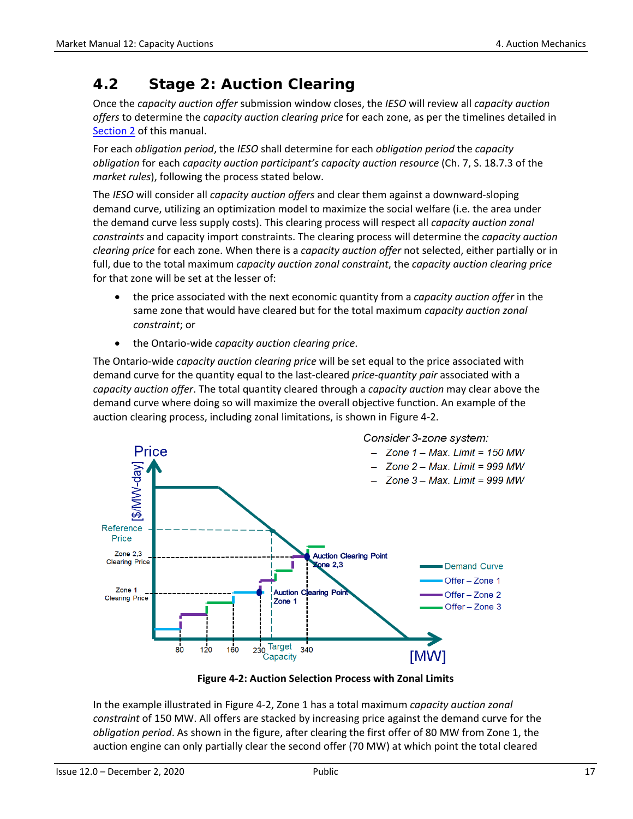## <span id="page-23-0"></span>**4.2 Stage 2: Auction Clearing**

Once the *capacity auction offer* submission window closes, the *IESO* will review all *capacity auction offers* to determine the *capacity auction clearing price* for each zone, as per the timelines detailed in [Section 2](#page-11-0) of this manual.

For each *obligation period*, the *IESO* shall determine for each *obligation period* the *capacity obligation* for each *capacity auction participant's capacity auction resource* (Ch. 7, S. 18.7.3 of the *market rules*), following the process stated below.

The *IESO* will consider all *capacity auction offers* and clear them against a downward-sloping demand curve, utilizing an optimization model to maximize the social welfare (i.e. the area under the demand curve less supply costs). This clearing process will respect all *capacity auction zonal constraints* and capacity import constraints. The clearing process will determine the *capacity auction clearing price* for each zone. When there is a *capacity auction offer* not selected, either partially or in full, due to the total maximum *capacity auction zonal constraint*, the *capacity auction clearing price* for that zone will be set at the lesser of:

- the price associated with the next economic quantity from a *capacity auction offer* in the same zone that would have cleared but for the total maximum *capacity auction zonal constraint*; or
- the Ontario-wide *capacity auction clearing price*.

The Ontario-wide *capacity auction clearing price* will be set equal to the price associated with demand curve for the quantity equal to the last-cleared *price-quantity pair* associated with a *capacity auction offer*. The total quantity cleared through a *capacity auction* may clear above the demand curve where doing so will maximize the overall objective function. An example of the auction clearing process, including zonal limitations, is shown in Figure 4-2.



**Figure 4-2: Auction Selection Process with Zonal Limits**

<span id="page-23-1"></span>In the example illustrated in Figure 4-2, Zone 1 has a total maximum *capacity auction zonal constraint* of 150 MW. All offers are stacked by increasing price against the demand curve for the *obligation period*. As shown in the figure, after clearing the first offer of 80 MW from Zone 1, the auction engine can only partially clear the second offer (70 MW) at which point the total cleared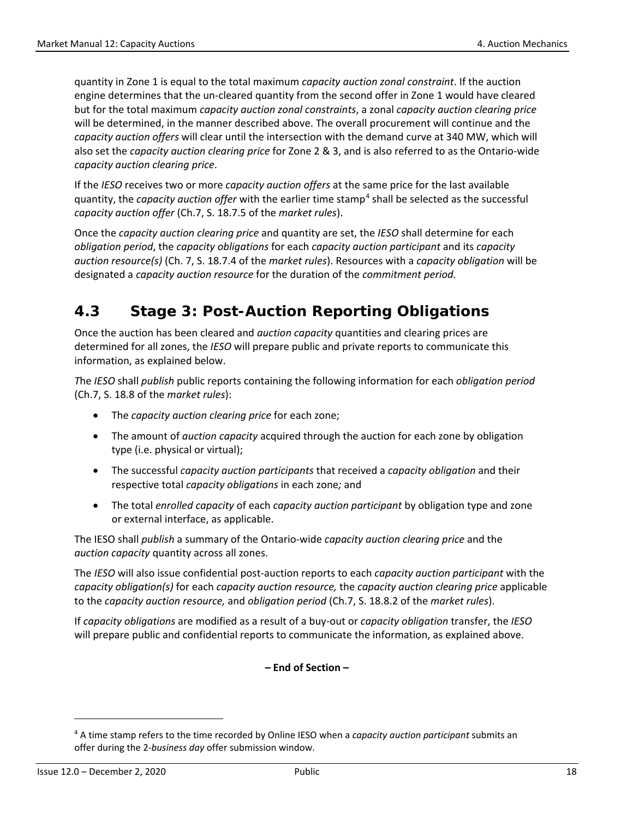quantity in Zone 1 is equal to the total maximum *capacity auction zonal constraint*. If the auction engine determines that the un-cleared quantity from the second offer in Zone 1 would have cleared but for the total maximum *capacity auction zonal constraints*, a zonal *capacity auction clearing price* will be determined, in the manner described above. The overall procurement will continue and the *capacity auction offers* will clear until the intersection with the demand curve at 340 MW, which will also set the *capacity auction clearing price* for Zone 2 & 3, and is also referred to as the Ontario-wide *capacity auction clearing price*.

If the *IESO* receives two or more *capacity auction offers* at the same price for the last available quantity, the *capacity auction offer* with the earlier time stamp[4](#page-24-1) shall be selected as the successful *capacity auction offer* (Ch.7, S. 18.7.5 of the *market rules*).

Once the *capacity auction clearing price* and quantity are set, the *IESO* shall determine for each *obligation period*, the *capacity obligations* for each *capacity auction participant* and its *capacity auction resource(s)* (Ch. 7, S. 18.7.4 of the *market rules*). Resources with a *capacity obligation* will be designated a *capacity auction resource* for the duration of the *commitment period.*

## <span id="page-24-0"></span>**4.3 Stage 3: Post-Auction Reporting Obligations**

Once the auction has been cleared and *auction capacity* quantities and clearing prices are determined for all zones, the *IESO* will prepare public and private reports to communicate this information, as explained below.

*T*he *IESO* shall *publish* public reports containing the following information for each *obligation period*  (Ch.7, S. 18.8 of the *market rules*):

- The *capacity auction clearing price* for each zone;
- The amount of *auction capacity* acquired through the auction for each zone by obligation type (i.e. physical or virtual);
- The successful *capacity auction participants* that received a *capacity obligation* and their respective total *capacity obligations* in each zone*;* and
- The total *enrolled capacity* of each *capacity auction participant* by obligation type and zone or external interface, as applicable.

The IESO shall *publish* a summary of the Ontario-wide *capacity auction clearing price* and the *auction capacity* quantity across all zones.

The *IESO* will also issue confidential post-auction reports to each *capacity auction participant* with the *capacity obligation(s)* for each *capacity auction resource,* the *capacity auction clearing price* applicable to the *capacity auction resource,* and *obligation period* (Ch.7, S. 18.8.2 of the *market rules*).

If *capacity obligations* are modified as a result of a buy-out or *capacity obligation* transfer, the *IESO* will prepare public and confidential reports to communicate the information, as explained above.

**– End of Section –** 

l

<span id="page-24-1"></span><sup>4</sup> A time stamp refers to the time recorded by Online IESO when a *capacity auction participant* submits an offer during the 2-*business day* offer submission window.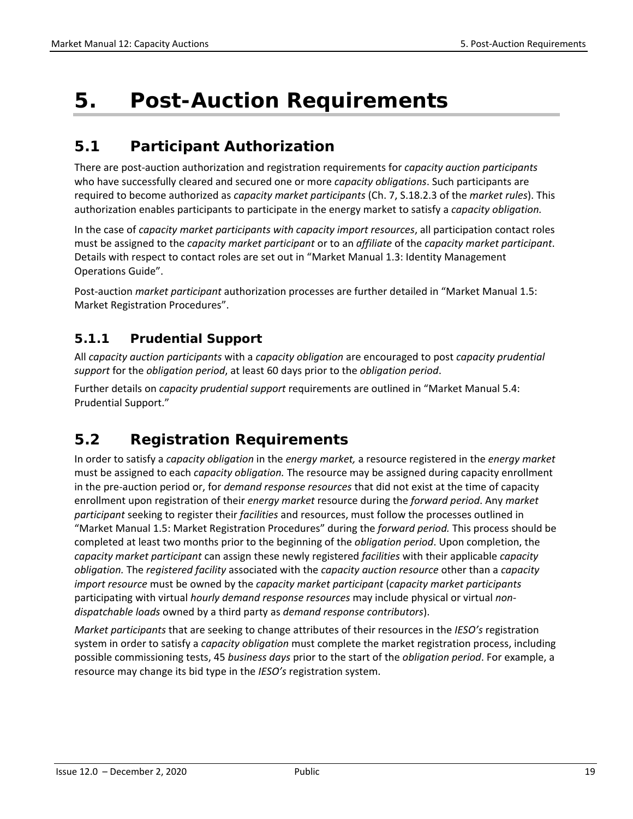## <span id="page-25-0"></span>**5. Post-Auction Requirements**

## <span id="page-25-1"></span>**5.1 Participant Authorization**

There are post-auction authorization and registration requirements for *capacity auction participants* who have successfully cleared and secured one or more *capacity obligations*. Such participants are required to become authorized as *capacity market participants* (Ch. 7, S.18.2.3 of the *market rules*). This authorization enables participants to participate in the energy market to satisfy a *capacity obligation.* 

In the case of *capacity market participants with capacity import resources*, all participation contact roles must be assigned to the *capacity market participant* or to an *affiliate* of the *capacity market participant*. Details with respect to contact roles are set out in "Market Manual 1.3: Identity Management Operations Guide".

Post-auction *market participant* authorization processes are further detailed in "Market Manual 1.5: Market Registration Procedures".

### <span id="page-25-2"></span>**5.1.1 Prudential Support**

All *capacity auction participants* with a *capacity obligation* are encouraged to post *capacity prudential support* for the *obligation period*, at least 60 days prior to the *obligation period*.

Further details on *capacity prudential support* requirements are outlined in "Market Manual 5.4: Prudential Support."

## <span id="page-25-3"></span>**5.2 Registration Requirements**

In order to satisfy a *capacity obligation* in the *energy market,* a resource registered in the *energy market*  must be assigned to each *capacity obligation.* The resource may be assigned during capacity enrollment in the pre-auction period or, for *demand response resources* that did not exist at the time of capacity enrollment upon registration of their *energy market* resource during the *forward period*. Any *market participant* seeking to register their *facilities* and resources, must follow the processes outlined in "Market Manual 1.5: Market Registration Procedures" during the *forward period.* This process should be completed at least two months prior to the beginning of the *obligation period*. Upon completion, the *capacity market participant* can assign these newly registered *facilities* with their applicable *capacity obligation.* The *registered facility* associated with the *capacity auction resource* other than a *capacity import resource* must be owned by the *capacity market participant* (*capacity market participants* participating with virtual *hourly demand response resources* may include physical or virtual *nondispatchable loads* owned by a third party as *demand response contributors*).

*Market participants* that are seeking to change attributes of their resources in the *IESO's* registration system in order to satisfy a *capacity obligation* must complete the market registration process, including possible commissioning tests, 45 *business days* prior to the start of the *obligation period*. For example, a resource may change its bid type in the *IESO's* registration system.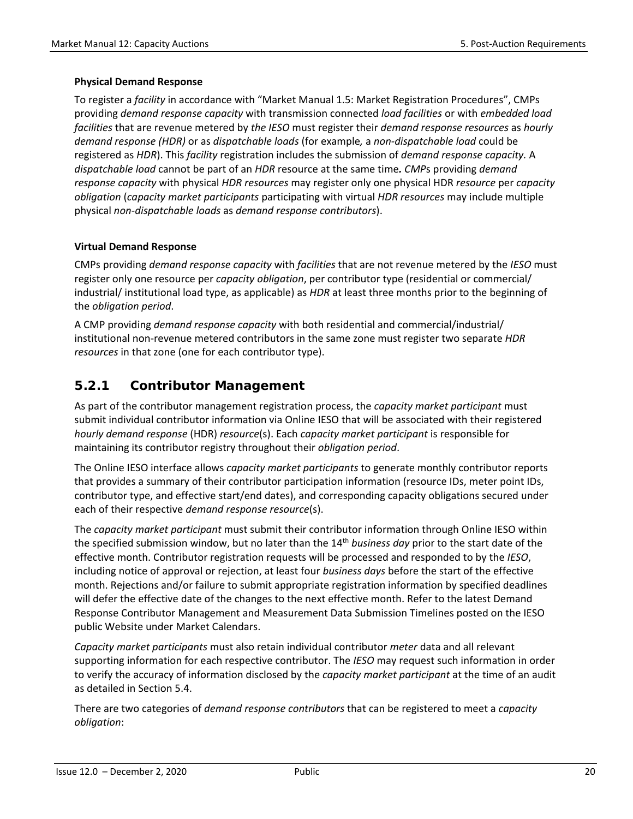#### **Physical Demand Response**

To register a *facility* in accordance with "Market Manual 1.5: Market Registration Procedures", CMPs providing *demand response capacity* with transmission connected *load facilities* or with *embedded load facilities* that are revenue metered by *the IESO* must register their *demand response resources* as *hourly demand response (HDR)* or as *dispatchable loads* (for example*,* a *non-dispatchable load* could be registered as *HDR*). This *facility* registration includes the submission of *demand response capacity.* A *dispatchable load* cannot be part of an *HDR* resource at the same time*. CMP*s providing *demand response capacity* with physical *HDR resources* may register only one physical HDR *resource* per *capacity obligation* (*capacity market participants* participating with virtual *HDR resources* may include multiple physical *non-dispatchable loads* as *demand response contributors*).

#### **Virtual Demand Response**

CMPs providing *demand response capacity* with *facilities* that are not revenue metered by the *IESO* must register only one resource per *capacity obligation*, per contributor type (residential or commercial/ industrial/ institutional load type, as applicable) as *HDR* at least three months prior to the beginning of the *obligation period*.

A CMP providing *demand response capacity* with both residential and commercial/industrial/ institutional non-revenue metered contributors in the same zone must register two separate *HDR resources* in that zone (one for each contributor type).

### <span id="page-26-0"></span>**5.2.1 Contributor Management**

As part of the contributor management registration process, the *capacity market participant* must submit individual contributor information via Online IESO that will be associated with their registered *hourly demand response* (HDR) *resource*(s). Each *capacity market participant* is responsible for maintaining its contributor registry throughout their *obligation period*.

The Online IESO interface allows *capacity market participants* to generate monthly contributor reports that provides a summary of their contributor participation information (resource IDs, meter point IDs, contributor type, and effective start/end dates), and corresponding capacity obligations secured under each of their respective *demand response resource*(s).

The *capacity market participant* must submit their contributor information through Online IESO within the specified submission window, but no later than the 14th *business day* prior to the start date of the effective month. Contributor registration requests will be processed and responded to by the *IESO*, including notice of approval or rejection, at least four *business days* before the start of the effective month. Rejections and/or failure to submit appropriate registration information by specified deadlines will defer the effective date of the changes to the next effective month. Refer to the latest Demand Response Contributor Management and Measurement Data Submission Timelines posted on the IESO public Website under Market Calendars.

*Capacity market participants* must also retain individual contributor *meter* data and all relevant supporting information for each respective contributor. The *IESO* may request such information in order to verify the accuracy of information disclosed by the *capacity market participant* at the time of an audit as detailed in Section 5.4.

There are two categories of *demand response contributors* that can be registered to meet a *capacity obligation*: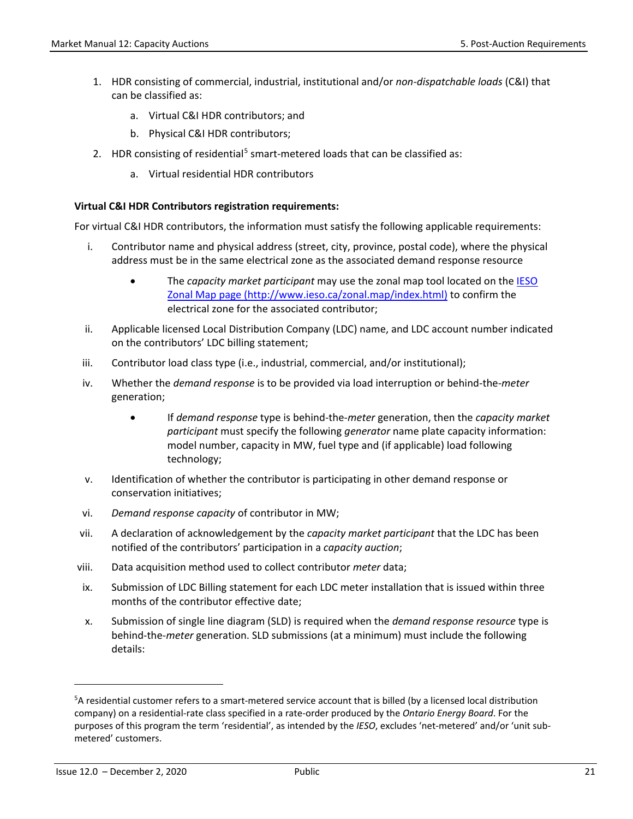- 1. HDR consisting of commercial, industrial, institutional and/or *non-dispatchable loads* (C&I) that can be classified as:
	- a. Virtual C&I HDR contributors; and
	- b. Physical C&I HDR contributors;
- 2. HDR consisting of residential<sup>[5](#page-27-0)</sup> smart-metered loads that can be classified as:
	- a. Virtual residential HDR contributors

#### **Virtual C&I HDR Contributors registration requirements:**

For virtual C&I HDR contributors, the information must satisfy the following applicable requirements:

- i. Contributor name and physical address (street, city, province, postal code), where the physical address must be in the same electrical zone as the associated demand response resource
	- The *capacity market participant* may use the zonal map tool located on the [IESO](http://www.ieso.ca/zonal.map/index.html)  [Zonal Map page \(http://www.ieso.ca/zonal.map/index.html\)](http://www.ieso.ca/zonal.map/index.html) to confirm the electrical zone for the associated contributor;
- ii. Applicable licensed Local Distribution Company (LDC) name, and LDC account number indicated on the contributors' LDC billing statement;
- iii. Contributor load class type (i.e., industrial, commercial, and/or institutional);
- iv. Whether the *demand response* is to be provided via load interruption or behind-the-*meter* generation;
	- If *demand response* type is behind-the-*meter* generation, then the *capacity market participant* must specify the following *generator* name plate capacity information: model number, capacity in MW, fuel type and (if applicable) load following technology;
- v. Identification of whether the contributor is participating in other demand response or conservation initiatives;
- vi. *Demand response capacity* of contributor in MW;
- vii. A declaration of acknowledgement by the *capacity market participant* that the LDC has been notified of the contributors' participation in a *capacity auction*;
- viii. Data acquisition method used to collect contributor *meter* data;
- ix. Submission of LDC Billing statement for each LDC meter installation that is issued within three months of the contributor effective date;
- x. Submission of single line diagram (SLD) is required when the *demand response resource* type is behind-the-*meter* generation. SLD submissions (at a minimum) must include the following details:

l

<span id="page-27-0"></span><sup>&</sup>lt;sup>5</sup>A residential customer refers to a smart-metered service account that is billed (by a licensed local distribution company) on a residential-rate class specified in a rate-order produced by the *Ontario Energy Board*. For the purposes of this program the term 'residential', as intended by the *IESO*, excludes 'net-metered' and/or 'unit submetered' customers.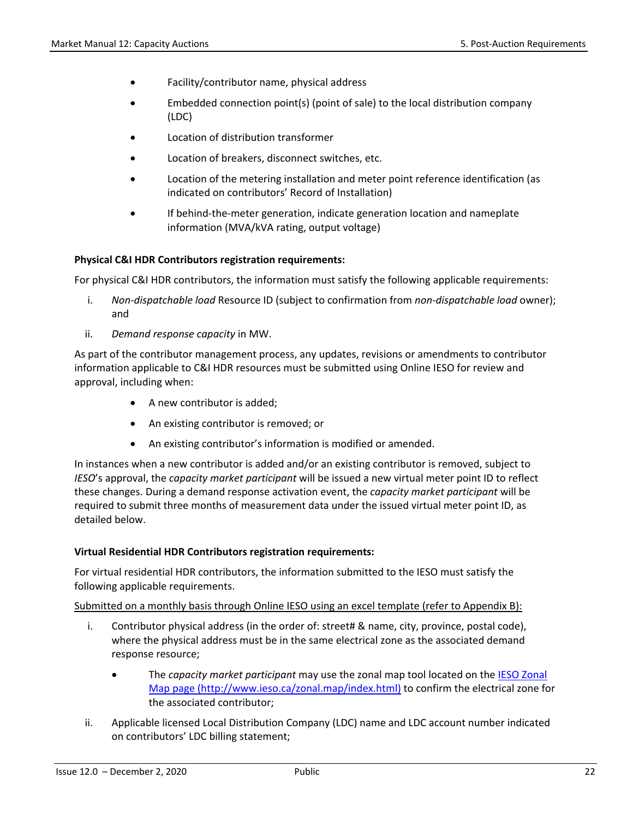- Facility/contributor name, physical address
- Embedded connection point(s) (point of sale) to the local distribution company (LDC)
- Location of distribution transformer
- Location of breakers, disconnect switches, etc.
- Location of the metering installation and meter point reference identification (as indicated on contributors' Record of Installation)
- If behind-the-meter generation, indicate generation location and nameplate information (MVA/kVA rating, output voltage)

#### **Physical C&I HDR Contributors registration requirements:**

For physical C&I HDR contributors, the information must satisfy the following applicable requirements:

- i. *Non-dispatchable load* Resource ID (subject to confirmation from *non-dispatchable load* owner); and
- ii. *Demand response capacity* in MW.

As part of the contributor management process, any updates, revisions or amendments to contributor information applicable to C&I HDR resources must be submitted using Online IESO for review and approval, including when:

- A new contributor is added;
- An existing contributor is removed; or
- An existing contributor's information is modified or amended.

In instances when a new contributor is added and/or an existing contributor is removed, subject to *IESO*'s approval, the *capacity market participant* will be issued a new virtual meter point ID to reflect these changes. During a demand response activation event, the *capacity market participant* will be required to submit three months of measurement data under the issued virtual meter point ID, as detailed below.

#### **Virtual Residential HDR Contributors registration requirements:**

For virtual residential HDR contributors, the information submitted to the IESO must satisfy the following applicable requirements.

Submitted on a monthly basis through Online IESO using an excel template (refer to Appendix B):

- i. Contributor physical address (in the order of: street# & name, city, province, postal code), where the physical address must be in the same electrical zone as the associated demand response resource;
	- The *capacity market participant* may use the zonal map tool located on the [IESO Zonal](http://www.ieso.ca/zonal.map/index.html)  [Map page \(http://www.ieso.ca/zonal.map/index.html\)](http://www.ieso.ca/zonal.map/index.html) to confirm the electrical zone for the associated contributor;
- ii. Applicable licensed Local Distribution Company (LDC) name and LDC account number indicated on contributors' LDC billing statement;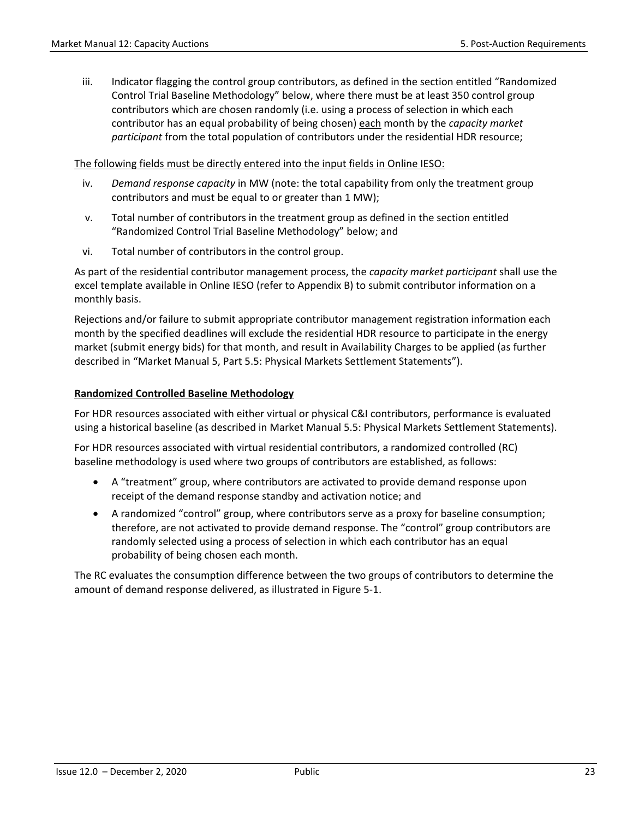iii. Indicator flagging the control group contributors, as defined in the section entitled "Randomized Control Trial Baseline Methodology" below, where there must be at least 350 control group contributors which are chosen randomly (i.e. using a process of selection in which each contributor has an equal probability of being chosen) each month by the *capacity market participant* from the total population of contributors under the residential HDR resource;

#### The following fields must be directly entered into the input fields in Online IESO:

- iv. *Demand response capacity* in MW (note: the total capability from only the treatment group contributors and must be equal to or greater than 1 MW);
- v. Total number of contributors in the treatment group as defined in the section entitled "Randomized Control Trial Baseline Methodology" below; and
- vi. Total number of contributors in the control group.

As part of the residential contributor management process, the *capacity market participant* shall use the excel template available in Online IESO (refer to Appendix B) to submit contributor information on a monthly basis.

Rejections and/or failure to submit appropriate contributor management registration information each month by the specified deadlines will exclude the residential HDR resource to participate in the energy market (submit energy bids) for that month, and result in Availability Charges to be applied (as further described in "Market Manual 5, Part 5.5: Physical Markets Settlement Statements").

#### **Randomized Controlled Baseline Methodology**

For HDR resources associated with either virtual or physical C&I contributors, performance is evaluated using a historical baseline (as described in Market Manual 5.5: Physical Markets Settlement Statements).

For HDR resources associated with virtual residential contributors, a randomized controlled (RC) baseline methodology is used where two groups of contributors are established, as follows:

- A "treatment" group, where contributors are activated to provide demand response upon receipt of the demand response standby and activation notice; and
- A randomized "control" group, where contributors serve as a proxy for baseline consumption; therefore, are not activated to provide demand response. The "control" group contributors are randomly selected using a process of selection in which each contributor has an equal probability of being chosen each month.

The RC evaluates the consumption difference between the two groups of contributors to determine the amount of demand response delivered, as illustrated in Figure 5-1.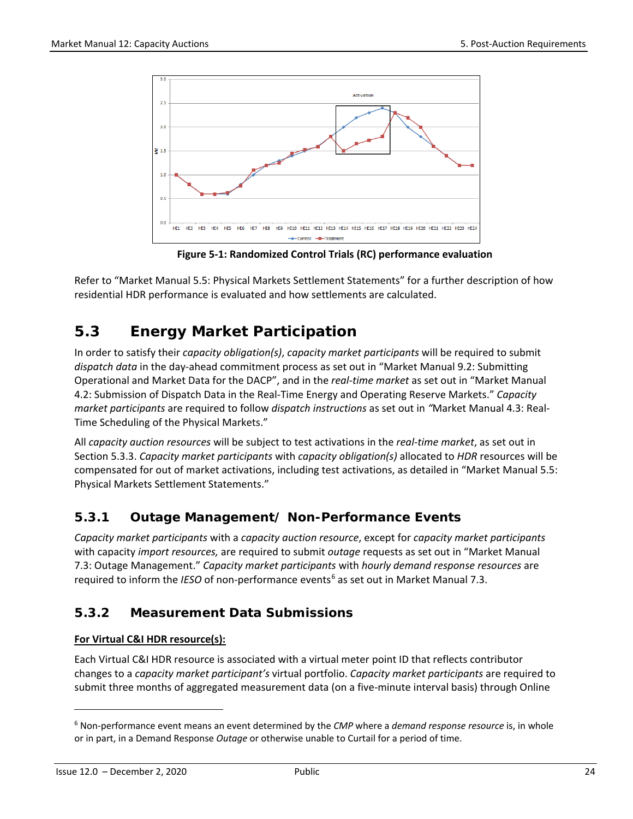

**Figure 5-1: Randomized Control Trials (RC) performance evaluation**

<span id="page-30-3"></span>Refer to "Market Manual 5.5: Physical Markets Settlement Statements" for a further description of how residential HDR performance is evaluated and how settlements are calculated.

## <span id="page-30-0"></span>**5.3 Energy Market Participation**

In order to satisfy their *capacity obligation(s)*, *capacity market participants* will be required to submit *dispatch data* in the day-ahead commitment process as set out in "Market Manual 9.2: Submitting Operational and Market Data for the DACP", and in the *real-time market* as set out in "Market Manual 4.2: Submission of Dispatch Data in the Real-Time Energy and Operating Reserve Markets." *Capacity market participants* are required to follow *dispatch instructions* as set out in *"*Market Manual 4.3: Real-Time Scheduling of the Physical Markets."

All *capacity auction resources* will be subject to test activations in the *real-time market*, as set out in Section 5.3.3. *Capacity market participants* with *capacity obligation(s)* allocated to *HDR* resources will be compensated for out of market activations, including test activations, as detailed in "Market Manual 5.5: Physical Markets Settlement Statements."

### <span id="page-30-1"></span>**5.3.1 Outage Management/ Non-Performance Events**

*Capacity market participants* with a *capacity auction resource*, except for *capacity market participants*  with capacity *import resources,* are required to submit *outage* requests as set out in "Market Manual 7.3: Outage Management." *Capacity market participants* with *hourly demand response resources* are required to inform the *IESO* of non-performance events<sup>[6](#page-30-4)</sup> as set out in Market Manual 7.3.

### <span id="page-30-2"></span>**5.3.2 Measurement Data Submissions**

#### **For Virtual C&I HDR resource(s):**

Each Virtual C&I HDR resource is associated with a virtual meter point ID that reflects contributor changes to a *capacity market participant's* virtual portfolio. *Capacity market participants* are required to submit three months of aggregated measurement data (on a five-minute interval basis) through Online

l

<span id="page-30-4"></span><sup>6</sup> Non-performance event means an event determined by the *CMP* where a *demand response resource* is, in whole or in part, in a Demand Response *Outage* or otherwise unable to Curtail for a period of time.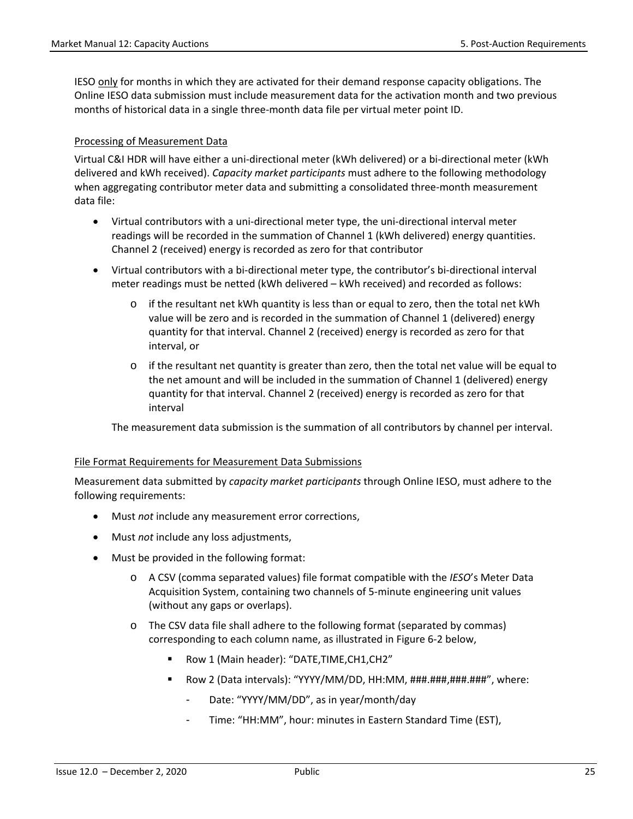IESO only for months in which they are activated for their demand response capacity obligations. The Online IESO data submission must include measurement data for the activation month and two previous months of historical data in a single three-month data file per virtual meter point ID.

#### Processing of Measurement Data

Virtual C&I HDR will have either a uni-directional meter (kWh delivered) or a bi-directional meter (kWh delivered and kWh received). *Capacity market participants* must adhere to the following methodology when aggregating contributor meter data and submitting a consolidated three-month measurement data file:

- Virtual contributors with a uni-directional meter type, the uni-directional interval meter readings will be recorded in the summation of Channel 1 (kWh delivered) energy quantities. Channel 2 (received) energy is recorded as zero for that contributor
- Virtual contributors with a bi-directional meter type, the contributor's bi-directional interval meter readings must be netted (kWh delivered – kWh received) and recorded as follows:
	- o if the resultant net kWh quantity is less than or equal to zero, then the total net kWh value will be zero and is recorded in the summation of Channel 1 (delivered) energy quantity for that interval. Channel 2 (received) energy is recorded as zero for that interval, or
	- $\circ$  if the resultant net quantity is greater than zero, then the total net value will be equal to the net amount and will be included in the summation of Channel 1 (delivered) energy quantity for that interval. Channel 2 (received) energy is recorded as zero for that interval

The measurement data submission is the summation of all contributors by channel per interval.

#### File Format Requirements for Measurement Data Submissions

Measurement data submitted by *capacity market participants* through Online IESO, must adhere to the following requirements:

- Must *not* include any measurement error corrections,
- Must *not* include any loss adjustments,
- Must be provided in the following format:
	- o A CSV (comma separated values) file format compatible with the *IESO*'s Meter Data Acquisition System, containing two channels of 5-minute engineering unit values (without any gaps or overlaps).
	- o The CSV data file shall adhere to the following format (separated by commas) corresponding to each column name, as illustrated in Figure 6-2 below,
		- Row 1 (Main header): "DATE,TIME,CH1,CH2"
		- Row 2 (Data intervals): "YYYY/MM/DD, HH:MM, ###.###,###.###", where:
			- Date: "YYYY/MM/DD", as in year/month/day
			- Time: "HH:MM", hour: minutes in Eastern Standard Time (EST),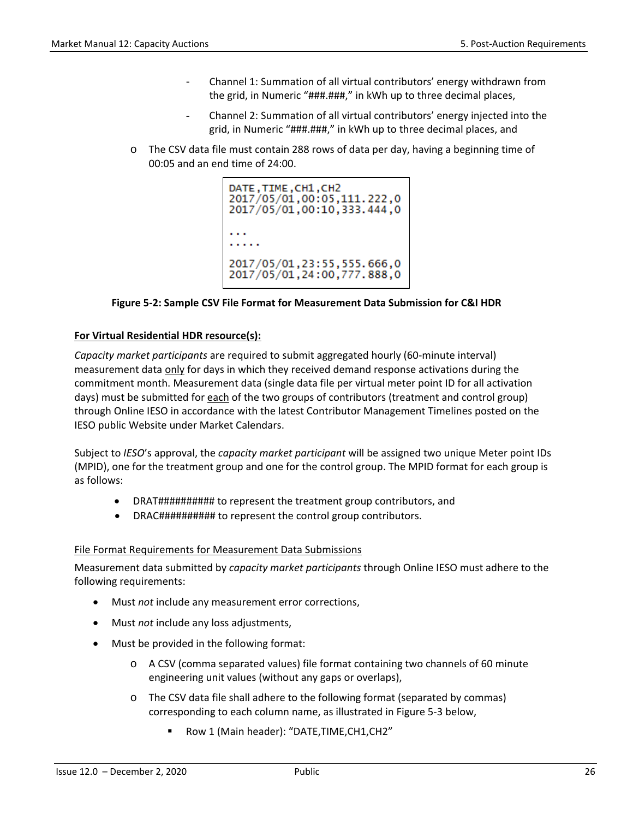- Channel 1: Summation of all virtual contributors' energy withdrawn from the grid, in Numeric "###.###," in kWh up to three decimal places,
- Channel 2: Summation of all virtual contributors' energy injected into the grid, in Numeric "###.###," in kWh up to three decimal places, and
- o The CSV data file must contain 288 rows of data per day, having a beginning time of 00:05 and an end time of 24:00.

| <b>DATE, TIME, CH1, CH2</b><br>2017/05/01,00:05,111.222,0<br>2017/05/01,00:10,333.444,0 |
|-----------------------------------------------------------------------------------------|
|                                                                                         |
| 2017/05/01, 23: 55, 555, 666, 0<br>2017/05/01, 24:00, 777.888, 0                        |

#### **Figure 5-2: Sample CSV File Format for Measurement Data Submission for C&I HDR**

#### <span id="page-32-0"></span>**For Virtual Residential HDR resource(s):**

*Capacity market participants* are required to submit aggregated hourly (60-minute interval) measurement data only for days in which they received demand response activations during the commitment month. Measurement data (single data file per virtual meter point ID for all activation days) must be submitted for each of the two groups of contributors (treatment and control group) through Online IESO in accordance with the latest Contributor Management Timelines posted on the IESO public Website under Market Calendars.

Subject to *IESO*'s approval, the *capacity market participant* will be assigned two unique Meter point IDs (MPID), one for the treatment group and one for the control group. The MPID format for each group is as follows:

- DRAT########## to represent the treatment group contributors, and
- DRAC########## to represent the control group contributors.

#### File Format Requirements for Measurement Data Submissions

Measurement data submitted by *capacity market participants* through Online IESO must adhere to the following requirements:

- Must *not* include any measurement error corrections,
- Must *not* include any loss adjustments,
- Must be provided in the following format:
	- o A CSV (comma separated values) file format containing two channels of 60 minute engineering unit values (without any gaps or overlaps),
	- o The CSV data file shall adhere to the following format (separated by commas) corresponding to each column name, as illustrated in Figure 5-3 below,
		- Row 1 (Main header): "DATE, TIME, CH1, CH2"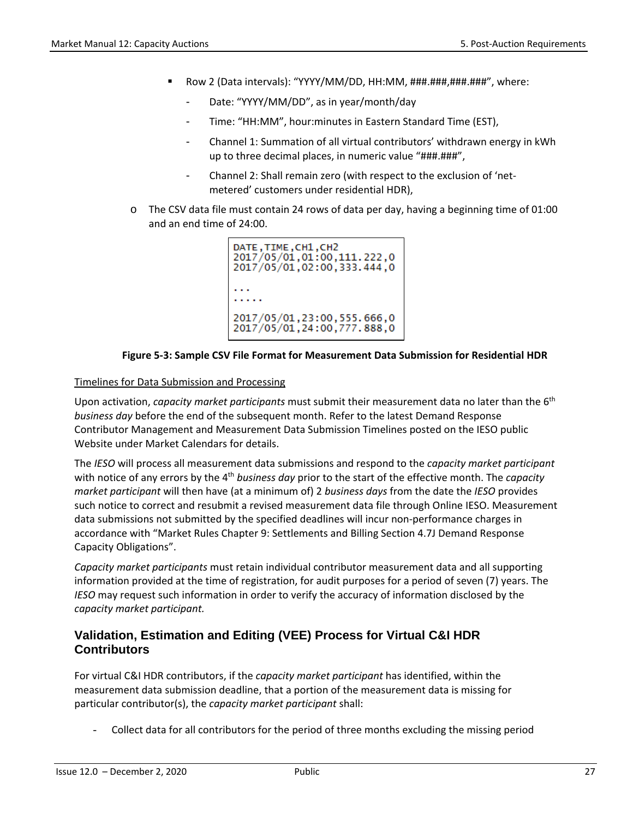- Row 2 (Data intervals): "YYYY/MM/DD, HH:MM, ###.###,###.###", where:
	- Date: "YYYY/MM/DD", as in year/month/day
	- Time: "HH:MM", hour:minutes in Eastern Standard Time (EST),
	- Channel 1: Summation of all virtual contributors' withdrawn energy in kWh up to three decimal places, in numeric value "###.###",
	- Channel 2: Shall remain zero (with respect to the exclusion of 'netmetered' customers under residential HDR),
- $\circ$  The CSV data file must contain 24 rows of data per day, having a beginning time of 01:00 and an end time of 24:00.

```
DATE, TIME, CH1, CH2
2017/05/01,01:00,111.222,0
2017/05/01,02:00,333.444,0
. . .
1.1.1.12017/05/01,23:00,555.666,0<br>2017/05/01,24:00,777.888,0
```
#### **Figure 5-3: Sample CSV File Format for Measurement Data Submission for Residential HDR**

#### <span id="page-33-0"></span>Timelines for Data Submission and Processing

Upon activation, *capacity market participants* must submit their measurement data no later than the 6th *business day* before the end of the subsequent month. Refer to the latest Demand Response Contributor Management and Measurement Data Submission Timelines posted on the IESO public Website under Market Calendars for details.

The *IESO* will process all measurement data submissions and respond to the *capacity market participant*  with notice of any errors by the 4th *business day* prior to the start of the effective month. The *capacity market participant* will then have (at a minimum of) 2 *business days* from the date the *IESO* provides such notice to correct and resubmit a revised measurement data file through Online IESO. Measurement data submissions not submitted by the specified deadlines will incur non-performance charges in accordance with "Market Rules Chapter 9: Settlements and Billing Section 4.7J Demand Response Capacity Obligations".

*Capacity market participants* must retain individual contributor measurement data and all supporting information provided at the time of registration, for audit purposes for a period of seven (7) years. The *IESO* may request such information in order to verify the accuracy of information disclosed by the *capacity market participant.*

#### **Validation, Estimation and Editing (VEE) Process for Virtual C&I HDR Contributors**

For virtual C&I HDR contributors, if the *capacity market participant* has identified, within the measurement data submission deadline, that a portion of the measurement data is missing for particular contributor(s), the *capacity market participant* shall:

- Collect data for all contributors for the period of three months excluding the missing period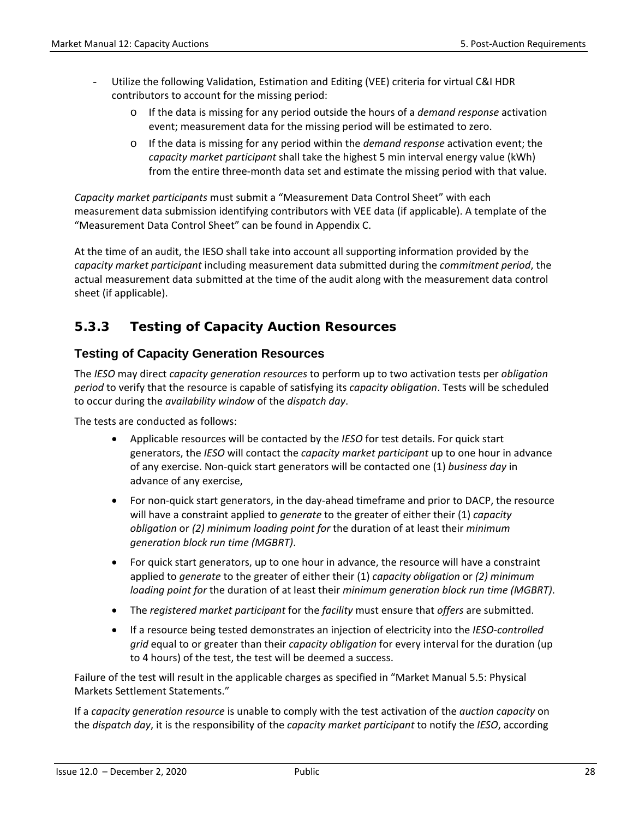- Utilize the following Validation, Estimation and Editing (VEE) criteria for virtual C&I HDR contributors to account for the missing period:
	- o If the data is missing for any period outside the hours of a *demand response* activation event; measurement data for the missing period will be estimated to zero.
	- o If the data is missing for any period within the *demand response* activation event; the *capacity market participant* shall take the highest 5 min interval energy value (kWh) from the entire three-month data set and estimate the missing period with that value.

*Capacity market participants* must submit a "Measurement Data Control Sheet" with each measurement data submission identifying contributors with VEE data (if applicable). A template of the "Measurement Data Control Sheet" can be found in Appendix C.

At the time of an audit, the IESO shall take into account all supporting information provided by the *capacity market participant* including measurement data submitted during the *commitment period*, the actual measurement data submitted at the time of the audit along with the measurement data control sheet (if applicable).

### <span id="page-34-0"></span>**5.3.3 Testing of** *Capacity Auction Resources*

#### **Testing of Capacity Generation Resources**

The *IESO* may direct *capacity generation resources* to perform up to two activation tests per *obligation period* to verify that the resource is capable of satisfying its *capacity obligation*. Tests will be scheduled to occur during the *availability window* of the *dispatch day*.

The tests are conducted as follows:

- Applicable resources will be contacted by the *IESO* for test details. For quick start generators, the *IESO* will contact the *capacity market participant* up to one hour in advance of any exercise. Non-quick start generators will be contacted one (1) *business day* in advance of any exercise,
- For non-quick start generators, in the day-ahead timeframe and prior to DACP, the resource will have a constraint applied to *generate* to the greater of either their (1) *capacity obligation* or *(2) minimum loading point for* the duration of at least their *minimum generation block run time (MGBRT)*.
- For quick start generators, up to one hour in advance, the resource will have a constraint applied to *generate* to the greater of either their (1) *capacity obligation* or *(2) minimum loading point for* the duration of at least their *minimum generation block run time (MGBRT)*.
- The *registered market participant* for the *facility* must ensure that *offers* are submitted.
- If a resource being tested demonstrates an injection of electricity into the *IESO-controlled grid* equal to or greater than their *capacity obligation* for every interval for the duration (up to 4 hours) of the test, the test will be deemed a success.

Failure of the test will result in the applicable charges as specified in "Market Manual 5.5: Physical Markets Settlement Statements."

If a *capacity generation resource* is unable to comply with the test activation of the *auction capacity* on the *dispatch day*, it is the responsibility of the *capacity market participant* to notify the *IESO*, according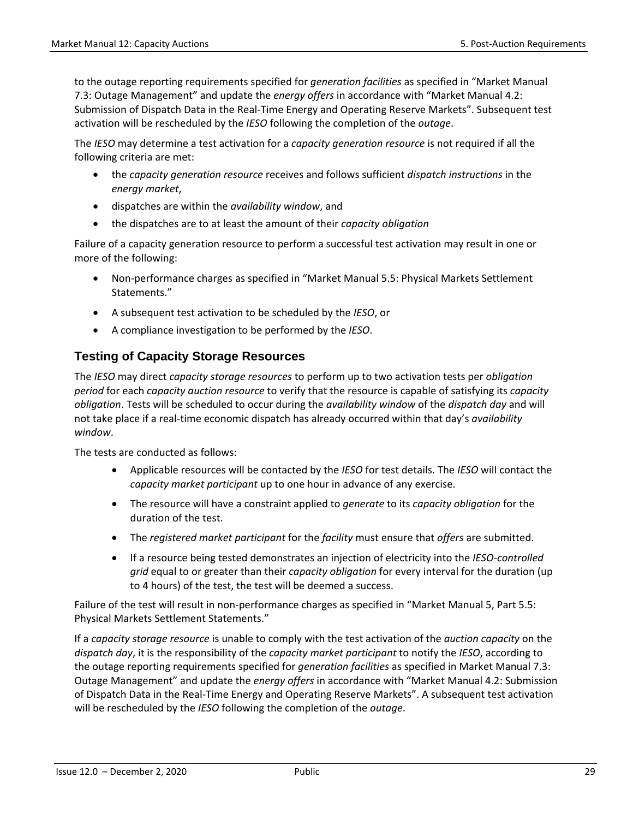to the outage reporting requirements specified for *generation facilities* as specified in "Market Manual 7.3: Outage Management" and update the *energy offers* in accordance with "Market Manual 4.2: Submission of Dispatch Data in the Real-Time Energy and Operating Reserve Markets". Subsequent test activation will be rescheduled by the *IESO* following the completion of the *outage*.

The *IESO* may determine a test activation for a *capacity generation resource* is not required if all the following criteria are met:

- the *capacity generation resource* receives and follows sufficient *dispatch instructions* in the *energy market*,
- dispatches are within the *availability window*, and
- the dispatches are to at least the amount of their *capacity obligation*

Failure of a capacity generation resource to perform a successful test activation may result in one or more of the following:

- Non-performance charges as specified in "Market Manual 5.5: Physical Markets Settlement Statements."
- A subsequent test activation to be scheduled by the *IESO*, or
- A compliance investigation to be performed by the *IESO*.

#### **Testing of Capacity Storage Resources**

The *IESO* may direct *capacity storage resources* to perform up to two activation tests per *obligation period* for each *capacity auction resource* to verify that the resource is capable of satisfying its *capacity obligation*. Tests will be scheduled to occur during the *availability window* of the *dispatch day* and will not take place if a real-time economic dispatch has already occurred within that day's *availability window*.

The tests are conducted as follows:

- Applicable resources will be contacted by the *IESO* for test details. The *IESO* will contact the *capacity market participant* up to one hour in advance of any exercise.
- The resource will have a constraint applied to *generate* to its *capacity obligation* for the duration of the test.
- The *registered market participant* for the *facility* must ensure that *offers* are submitted.
- If a resource being tested demonstrates an injection of electricity into the *IESO-controlled grid* equal to or greater than their *capacity obligation* for every interval for the duration (up to 4 hours) of the test, the test will be deemed a success.

Failure of the test will result in non-performance charges as specified in "Market Manual 5, Part 5.5: Physical Markets Settlement Statements."

If a *capacity storage resource* is unable to comply with the test activation of the *auction capacity* on the *dispatch day*, it is the responsibility of the *capacity market participant* to notify the *IESO*, according to the outage reporting requirements specified for *generation facilities* as specified in Market Manual 7.3: Outage Management" and update the *energy offers* in accordance with "Market Manual 4.2: Submission of Dispatch Data in the Real-Time Energy and Operating Reserve Markets". A subsequent test activation will be rescheduled by the *IESO* following the completion of the *outage*.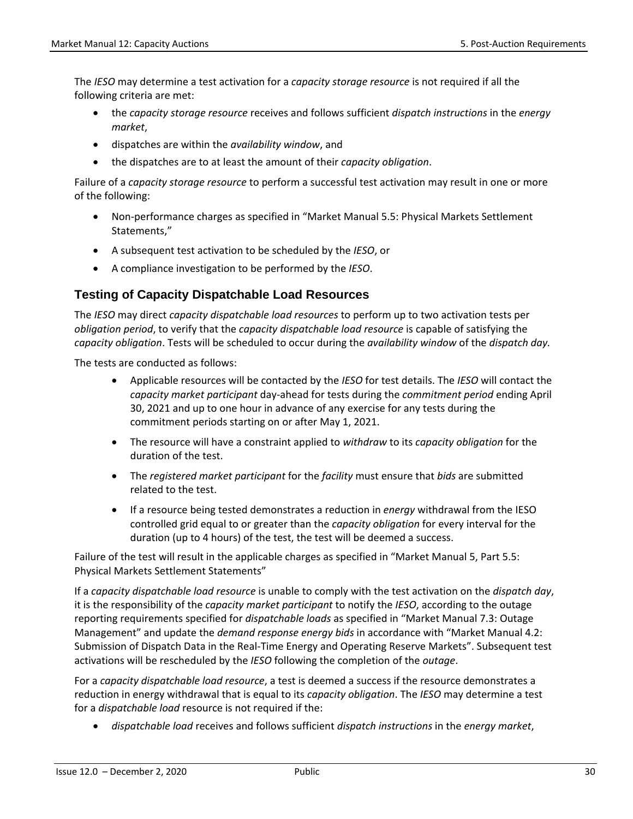The *IESO* may determine a test activation for a *capacity storage resource* is not required if all the following criteria are met:

- the *capacity storage resource* receives and follows sufficient *dispatch instructions* in the *energy market*,
- dispatches are within the *availability window*, and
- the dispatches are to at least the amount of their *capacity obligation*.

Failure of a *capacity storage resource* to perform a successful test activation may result in one or more of the following:

- Non-performance charges as specified in "Market Manual 5.5: Physical Markets Settlement Statements,"
- A subsequent test activation to be scheduled by the *IESO*, or
- A compliance investigation to be performed by the *IESO*.

#### **Testing of Capacity Dispatchable Load Resources**

The *IESO* may direct *capacity dispatchable load resources* to perform up to two activation tests per *obligation period*, to verify that the *capacity dispatchable load resource* is capable of satisfying the *capacity obligation*. Tests will be scheduled to occur during the *availability window* of the *dispatch day.* 

The tests are conducted as follows:

- Applicable resources will be contacted by the *IESO* for test details. The *IESO* will contact the *capacity market participant* day-ahead for tests during the *commitment period* ending April 30, 2021 and up to one hour in advance of any exercise for any tests during the commitment periods starting on or after May 1, 2021.
- The resource will have a constraint applied to *withdraw* to its *capacity obligation* for the duration of the test.
- The *registered market participant* for the *facility* must ensure that *bids* are submitted related to the test.
- If a resource being tested demonstrates a reduction in *energy* withdrawal from the IESO controlled grid equal to or greater than the *capacity obligation* for every interval for the duration (up to 4 hours) of the test, the test will be deemed a success.

Failure of the test will result in the applicable charges as specified in "Market Manual 5, Part 5.5: Physical Markets Settlement Statements"

If a *capacity dispatchable load resource* is unable to comply with the test activation on the *dispatch day*, it is the responsibility of the *capacity market participant* to notify the *IESO*, according to the outage reporting requirements specified for *dispatchable loads* as specified in "Market Manual 7.3: Outage Management" and update the *demand response energy bids* in accordance with "Market Manual 4.2: Submission of Dispatch Data in the Real-Time Energy and Operating Reserve Markets". Subsequent test activations will be rescheduled by the *IESO* following the completion of the *outage*.

For a *capacity dispatchable load resource*, a test is deemed a success if the resource demonstrates a reduction in energy withdrawal that is equal to its *capacity obligation*. The *IESO* may determine a test for a *dispatchable load* resource is not required if the:

• *dispatchable load* receives and follows sufficient *dispatch instructions* in the *energy market*,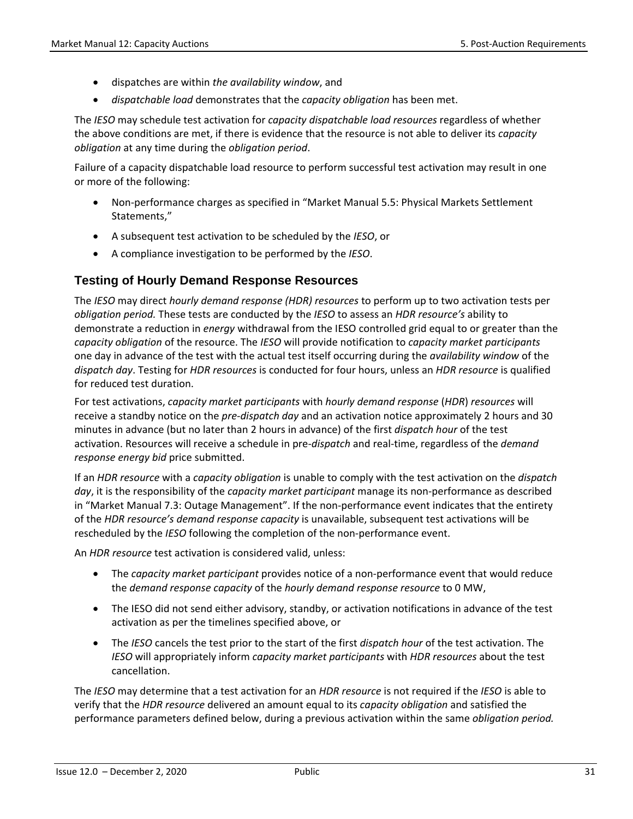- dispatches are within *the availability window*, and
- *dispatchable load* demonstrates that the *capacity obligation* has been met.

The *IESO* may schedule test activation for *capacity dispatchable load resources* regardless of whether the above conditions are met, if there is evidence that the resource is not able to deliver its *capacity obligation* at any time during the *obligation period*.

Failure of a capacity dispatchable load resource to perform successful test activation may result in one or more of the following:

- Non-performance charges as specified in "Market Manual 5.5: Physical Markets Settlement Statements,"
- A subsequent test activation to be scheduled by the *IESO*, or
- A compliance investigation to be performed by the *IESO*.

#### **Testing of Hourly Demand Response Resources**

The *IESO* may direct *hourly demand response (HDR) resources* to perform up to two activation tests per *obligation period.* These tests are conducted by the *IESO* to assess an *HDR resource's* ability to demonstrate a reduction in *energy* withdrawal from the IESO controlled grid equal to or greater than the *capacity obligation* of the resource. The *IESO* will provide notification to *capacity market participants* one day in advance of the test with the actual test itself occurring during the *availability window* of the *dispatch day*. Testing for *HDR resources* is conducted for four hours, unless an *HDR resource* is qualified for reduced test duration.

For test activations, *capacity market participants* with *hourly demand response* (*HDR*) *resources* will receive a standby notice on the *pre-dispatch day* and an activation notice approximately 2 hours and 30 minutes in advance (but no later than 2 hours in advance) of the first *dispatch hour* of the test activation. Resources will receive a schedule in pre-*dispatch* and real-time, regardless of the *demand response energy bid* price submitted.

If an *HDR resource* with a *capacity obligation* is unable to comply with the test activation on the *dispatch day*, it is the responsibility of the *capacity market participant* manage its non-performance as described in "Market Manual 7.3: Outage Management". If the non-performance event indicates that the entirety of the *HDR resource's demand response capacity* is unavailable, subsequent test activations will be rescheduled by the *IESO* following the completion of the non-performance event.

An *HDR resource* test activation is considered valid, unless:

- The *capacity market participant* provides notice of a non-performance event that would reduce the *demand response capacity* of the *hourly demand response resource* to 0 MW,
- The IESO did not send either advisory, standby, or activation notifications in advance of the test activation as per the timelines specified above, or
- The *IESO* cancels the test prior to the start of the first *dispatch hour* of the test activation. The *IESO* will appropriately inform *capacity market participants* with *HDR resources* about the test cancellation.

The *IESO* may determine that a test activation for an *HDR resource* is not required if the *IESO* is able to verify that the *HDR resource* delivered an amount equal to its *capacity obligation* and satisfied the performance parameters defined below, during a previous activation within the same *obligation period.*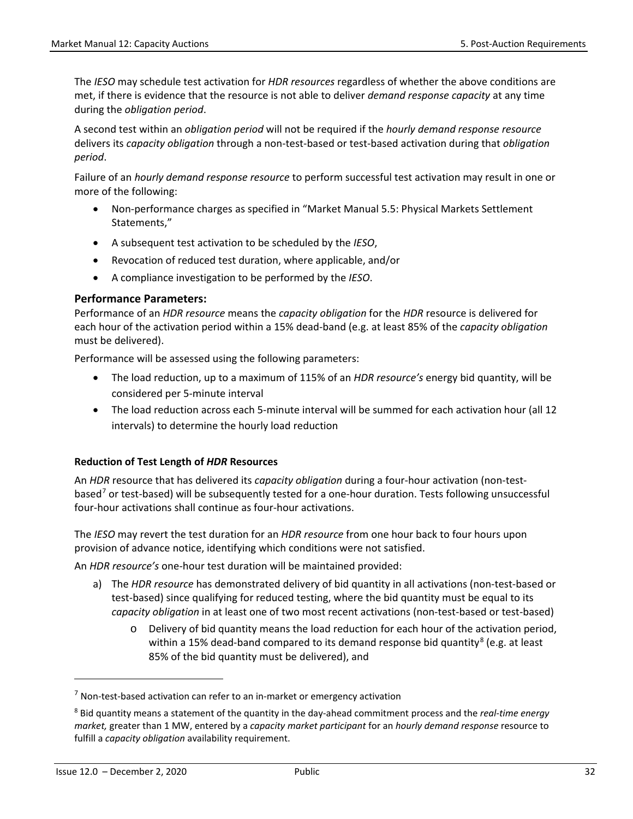The *IESO* may schedule test activation for *HDR resources* regardless of whether the above conditions are met, if there is evidence that the resource is not able to deliver *demand response capacity* at any time during the *obligation period*.

A second test within an *obligation period* will not be required if the *hourly demand response resource* delivers its *capacity obligation* through a non-test-based or test-based activation during that *obligation period*.

Failure of an *hourly demand response resource* to perform successful test activation may result in one or more of the following:

- Non-performance charges as specified in "Market Manual 5.5: Physical Markets Settlement Statements,"
- A subsequent test activation to be scheduled by the *IESO*,
- Revocation of reduced test duration, where applicable, and/or
- A compliance investigation to be performed by the *IESO*.

#### **Performance Parameters:**

Performance of an *HDR resource* means the *capacity obligation* for the *HDR* resource is delivered for each hour of the activation period within a 15% dead-band (e.g. at least 85% of the *capacity obligation* must be delivered).

Performance will be assessed using the following parameters:

- The load reduction, up to a maximum of 115% of an *HDR resource's* energy bid quantity, will be considered per 5-minute interval
- The load reduction across each 5-minute interval will be summed for each activation hour (all 12 intervals) to determine the hourly load reduction

#### **Reduction of Test Length of** *HDR* **Resources**

An *HDR* resource that has delivered its *capacity obligation* during a four-hour activation (non-testbased[7](#page-38-0) or test-based) will be subsequently tested for a one-hour duration. Tests following unsuccessful four-hour activations shall continue as four-hour activations.

The *IESO* may revert the test duration for an *HDR resource* from one hour back to four hours upon provision of advance notice, identifying which conditions were not satisfied.

An *HDR resource's* one-hour test duration will be maintained provided:

- a) The *HDR resource* has demonstrated delivery of bid quantity in all activations (non-test-based or test-based) since qualifying for reduced testing, where the bid quantity must be equal to its *capacity obligation* in at least one of two most recent activations (non-test-based or test-based)
	- o Delivery of bid quantity means the load reduction for each hour of the activation period, within a 15% dead-band compared to its demand response bid quantity<sup>[8](#page-38-1)</sup> (e.g. at least 85% of the bid quantity must be delivered), and

l

<span id="page-38-0"></span> $7$  Non-test-based activation can refer to an in-market or emergency activation

<span id="page-38-1"></span><sup>8</sup> Bid quantity means a statement of the quantity in the day-ahead commitment process and the *real-time energy market,* greater than 1 MW, entered by a *capacity market participant* for an *hourly demand response* resource to fulfill a *capacity obligation* availability requirement.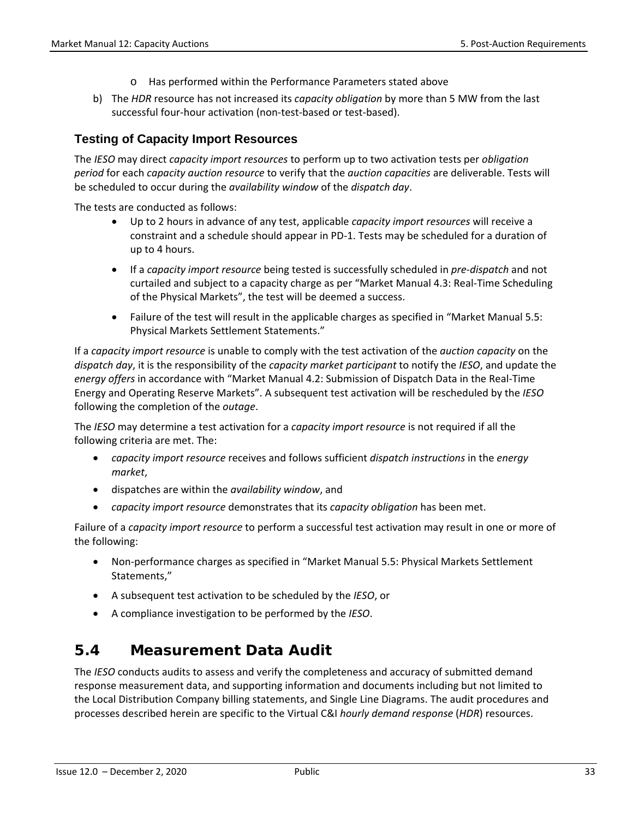- o Has performed within the Performance Parameters stated above
- b) The *HDR* resource has not increased its *capacity obligation* by more than 5 MW from the last successful four-hour activation (non-test-based or test-based).

#### **Testing of Capacity Import Resources**

The *IESO* may direct *capacity import resources* to perform up to two activation tests per *obligation period* for each *capacity auction resource* to verify that the *auction capacities* are deliverable. Tests will be scheduled to occur during the *availability window* of the *dispatch day*.

The tests are conducted as follows:

- Up to 2 hours in advance of any test, applicable *capacity import resources* will receive a constraint and a schedule should appear in PD-1. Tests may be scheduled for a duration of up to 4 hours.
- If a *capacity import resource* being tested is successfully scheduled in *pre-dispatch* and not curtailed and subject to a capacity charge as per "Market Manual 4.3: Real-Time Scheduling of the Physical Markets", the test will be deemed a success.
- Failure of the test will result in the applicable charges as specified in "Market Manual 5.5: Physical Markets Settlement Statements."

If a *capacity import resource* is unable to comply with the test activation of the *auction capacity* on the *dispatch day*, it is the responsibility of the *capacity market participant* to notify the *IESO*, and update the *energy offers* in accordance with "Market Manual 4.2: Submission of Dispatch Data in the Real-Time Energy and Operating Reserve Markets". A subsequent test activation will be rescheduled by the *IESO* following the completion of the *outage*.

The *IESO* may determine a test activation for a *capacity import resource* is not required if all the following criteria are met. The:

- *capacity import resource* receives and follows sufficient *dispatch instructions* in the *energy market*,
- dispatches are within the *availability window*, and
- *capacity import resource* demonstrates that its *capacity obligation* has been met.

Failure of a *capacity import resource* to perform a successful test activation may result in one or more of the following:

- Non-performance charges as specified in "Market Manual 5.5: Physical Markets Settlement Statements,"
- A subsequent test activation to be scheduled by the *IESO*, or
- A compliance investigation to be performed by the *IESO*.

## <span id="page-39-0"></span>**5.4 Measurement Data Audit**

The *IESO* conducts audits to assess and verify the completeness and accuracy of submitted demand response measurement data, and supporting information and documents including but not limited to the Local Distribution Company billing statements, and Single Line Diagrams. The audit procedures and processes described herein are specific to the Virtual C&I *hourly demand response* (*HDR*) resources.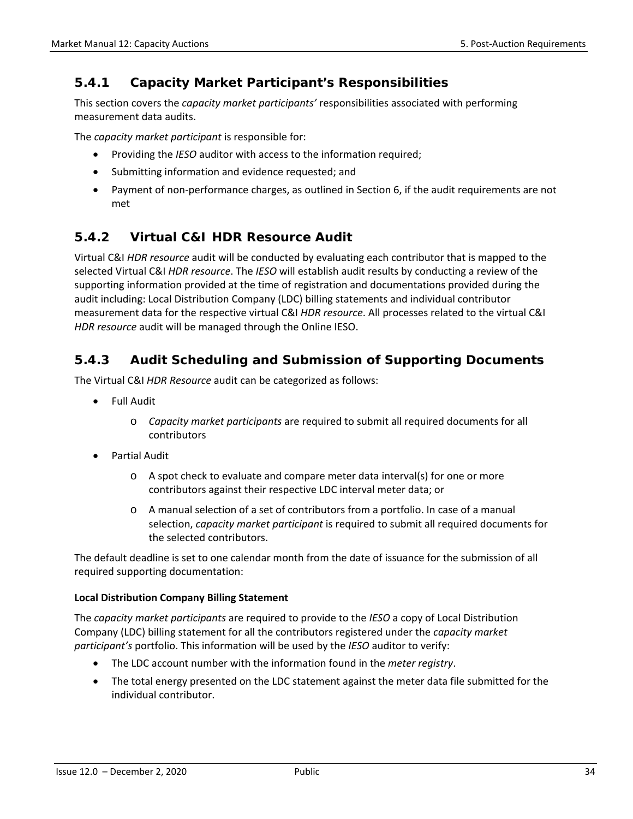### <span id="page-40-0"></span>**5.4.1 Capacity Market Participant's Responsibilities**

This section covers the *capacity market participants'* responsibilities associated with performing measurement data audits.

The *capacity market participant* is responsible for:

- Providing the *IESO* auditor with access to the information required;
- Submitting information and evidence requested; and
- Payment of non-performance charges, as outlined in Section 6, if the audit requirements are not met

### <span id="page-40-1"></span>**5.4.2 Virtual C&I HDR Resource Audit**

Virtual C&I *HDR resource* audit will be conducted by evaluating each contributor that is mapped to the selected Virtual C&I *HDR resource*. The *IESO* will establish audit results by conducting a review of the supporting information provided at the time of registration and documentations provided during the audit including: Local Distribution Company (LDC) billing statements and individual contributor measurement data for the respective virtual C&I *HDR resource*. All processes related to the virtual C&I *HDR resource* audit will be managed through the Online IESO.

### <span id="page-40-2"></span>**5.4.3 Audit Scheduling and Submission of Supporting Documents**

The Virtual C&I *HDR Resource* audit can be categorized as follows:

- Full Audit
	- o *Capacity market participants* are required to submit all required documents for all contributors
- Partial Audit
	- o A spot check to evaluate and compare meter data interval(s) for one or more contributors against their respective LDC interval meter data; or
	- o A manual selection of a set of contributors from a portfolio. In case of a manual selection, *capacity market participant* is required to submit all required documents for the selected contributors.

The default deadline is set to one calendar month from the date of issuance for the submission of all required supporting documentation:

#### **Local Distribution Company Billing Statement**

The *capacity market participants* are required to provide to the *IESO* a copy of Local Distribution Company (LDC) billing statement for all the contributors registered under the *capacity market participant's* portfolio. This information will be used by the *IESO* auditor to verify:

- The LDC account number with the information found in the *meter registry*.
- The total energy presented on the LDC statement against the meter data file submitted for the individual contributor.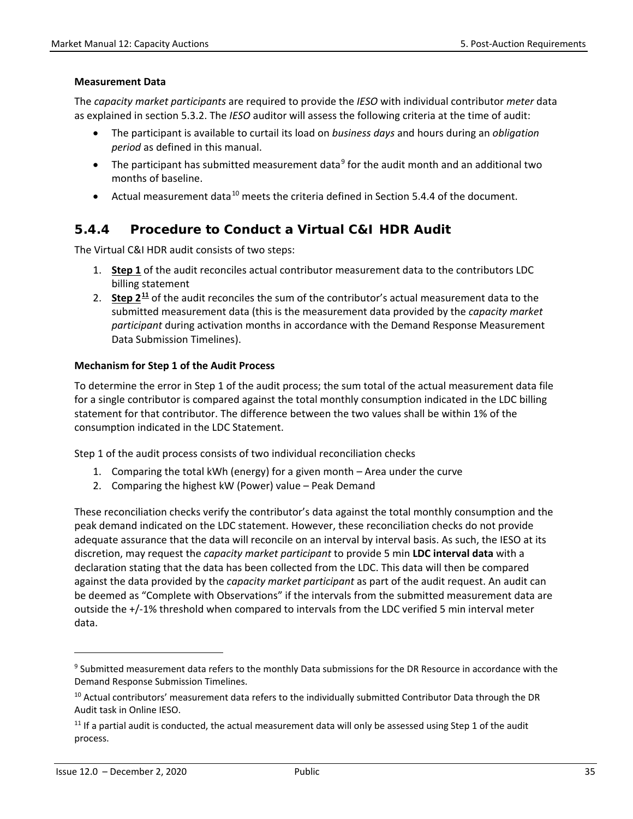#### **Measurement Data**

The *capacity market participants* are required to provide the *IESO* with individual contributor *meter* data as explained in section 5.3.2. The *IESO* auditor will assess the following criteria at the time of audit:

- The participant is available to curtail its load on *business days* and hours during an *obligation period* as defined in this manual.
- The participant has submitted measurement data<sup>[9](#page-41-1)</sup> for the audit month and an additional two months of baseline.
- Actual measurement data<sup>[10](#page-41-2)</sup> meets the criteria defined in Section 5.4.4 of the document.

#### <span id="page-41-0"></span>**5.4.4 Procedure to Conduct a Virtual C&I HDR Audit**

The Virtual C&I HDR audit consists of two steps:

- 1. **Step 1** of the audit reconciles actual contributor measurement data to the contributors LDC billing statement
- 2. **Step 2[11](#page-41-3)** of the audit reconciles the sum of the contributor's actual measurement data to the submitted measurement data (this is the measurement data provided by the *capacity market participant* during activation months in accordance with the Demand Response Measurement Data Submission Timelines).

#### **Mechanism for Step 1 of the Audit Process**

To determine the error in Step 1 of the audit process; the sum total of the actual measurement data file for a single contributor is compared against the total monthly consumption indicated in the LDC billing statement for that contributor. The difference between the two values shall be within 1% of the consumption indicated in the LDC Statement.

Step 1 of the audit process consists of two individual reconciliation checks

- 1. Comparing the total kWh (energy) for a given month Area under the curve
- 2. Comparing the highest kW (Power) value Peak Demand

These reconciliation checks verify the contributor's data against the total monthly consumption and the peak demand indicated on the LDC statement. However, these reconciliation checks do not provide adequate assurance that the data will reconcile on an interval by interval basis. As such, the IESO at its discretion, may request the *capacity market participant* to provide 5 min **LDC interval data** with a declaration stating that the data has been collected from the LDC. This data will then be compared against the data provided by the *capacity market participant* as part of the audit request. An audit can be deemed as "Complete with Observations" if the intervals from the submitted measurement data are outside the +/-1% threshold when compared to intervals from the LDC verified 5 min interval meter data.

 $\overline{a}$ 

<span id="page-41-1"></span><sup>&</sup>lt;sup>9</sup> Submitted measurement data refers to the monthly Data submissions for the DR Resource in accordance with the Demand Response Submission Timelines.

<span id="page-41-2"></span><sup>&</sup>lt;sup>10</sup> Actual contributors' measurement data refers to the individually submitted Contributor Data through the DR Audit task in Online IESO.

<span id="page-41-3"></span> $11$  If a partial audit is conducted, the actual measurement data will only be assessed using Step 1 of the audit process.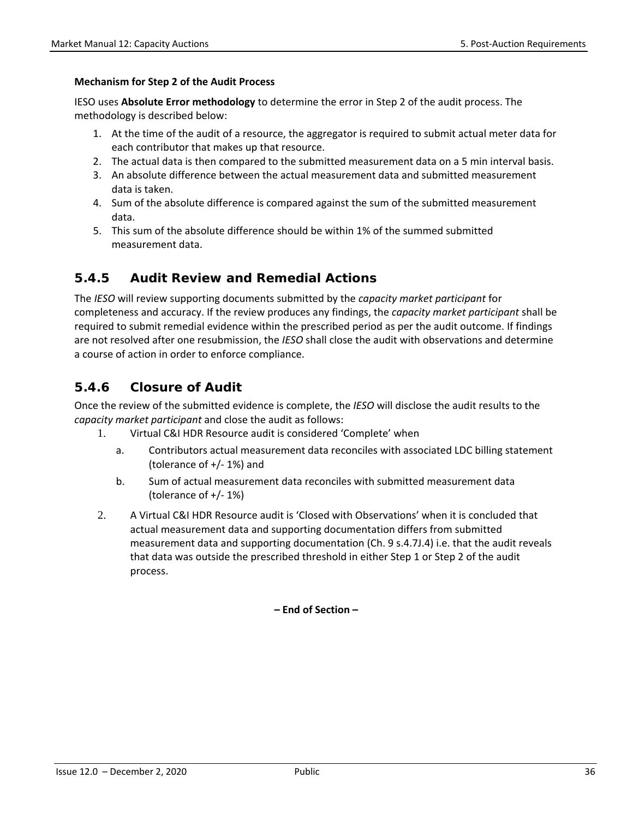#### **Mechanism for Step 2 of the Audit Process**

IESO uses **Absolute Error methodology** to determine the error in Step 2 of the audit process. The methodology is described below:

- 1. At the time of the audit of a resource, the aggregator is required to submit actual meter data for each contributor that makes up that resource.
- 2. The actual data is then compared to the submitted measurement data on a 5 min interval basis.
- 3. An absolute difference between the actual measurement data and submitted measurement data is taken.
- 4. Sum of the absolute difference is compared against the sum of the submitted measurement data.
- 5. This sum of the absolute difference should be within 1% of the summed submitted measurement data.

#### <span id="page-42-0"></span>**5.4.5 Audit Review and Remedial Actions**

The *IESO* will review supporting documents submitted by the *capacity market participant* for completeness and accuracy. If the review produces any findings, the *capacity market participant* shall be required to submit remedial evidence within the prescribed period as per the audit outcome. If findings are not resolved after one resubmission, the *IESO* shall close the audit with observations and determine a course of action in order to enforce compliance.

#### <span id="page-42-1"></span>**5.4.6 Closure of Audit**

Once the review of the submitted evidence is complete, the *IESO* will disclose the audit results to the *capacity market participant* and close the audit as follows:

- 1. Virtual C&I HDR Resource audit is considered 'Complete' when
	- a. Contributors actual measurement data reconciles with associated LDC billing statement (tolerance of +/- 1%) and
	- b. Sum of actual measurement data reconciles with submitted measurement data (tolerance of +/- 1%)
- 2. A Virtual C&I HDR Resource audit is 'Closed with Observations' when it is concluded that actual measurement data and supporting documentation differs from submitted measurement data and supporting documentation (Ch. 9 s.4.7J.4) i.e. that the audit reveals that data was outside the prescribed threshold in either Step 1 or Step 2 of the audit process.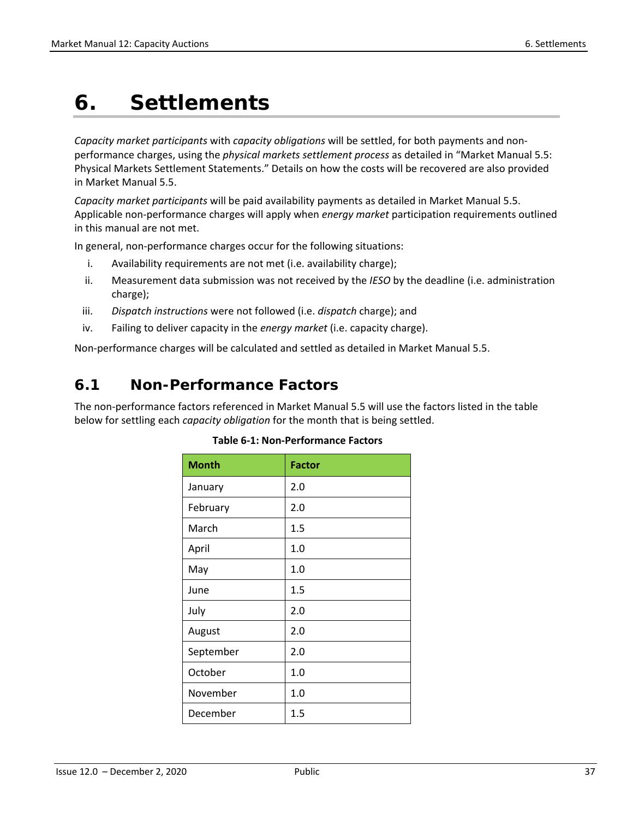## <span id="page-43-0"></span>**6. Settlements**

*Capacity market participants* with *capacity obligations* will be settled, for both payments and nonperformance charges, using the *physical markets settlement process* as detailed in "Market Manual 5.5: Physical Markets Settlement Statements." Details on how the costs will be recovered are also provided in Market Manual 5.5.

*Capacity market participants* will be paid availability payments as detailed in Market Manual 5.5. Applicable non-performance charges will apply when *energy market* participation requirements outlined in this manual are not met.

In general, non-performance charges occur for the following situations:

- i. Availability requirements are not met (i.e. availability charge);
- ii. Measurement data submission was not received by the *IESO* by the deadline (i.e. administration charge);
- iii. *Dispatch instructions* were not followed (i.e. *dispatch* charge); and
- iv. Failing to deliver capacity in the *energy market* (i.e. capacity charge).

<span id="page-43-1"></span>Non-performance charges will be calculated and settled as detailed in Market Manual 5.5.

### **6.1 Non-Performance Factors**

<span id="page-43-2"></span>The non-performance factors referenced in Market Manual 5.5 will use the factors listed in the table below for settling each *capacity obligation* for the month that is being settled.

| <b>Month</b> | <b>Factor</b> |
|--------------|---------------|
| January      | 2.0           |
| February     | 2.0           |
| March        | 1.5           |
| April        | 1.0           |
| May          | 1.0           |
| June         | 1.5           |
| July         | 2.0           |
| August       | 2.0           |
| September    | 2.0           |
| October      | 1.0           |
| November     | 1.0           |
| December     | 1.5           |

#### **Table 6-1: Non-Performance Factors**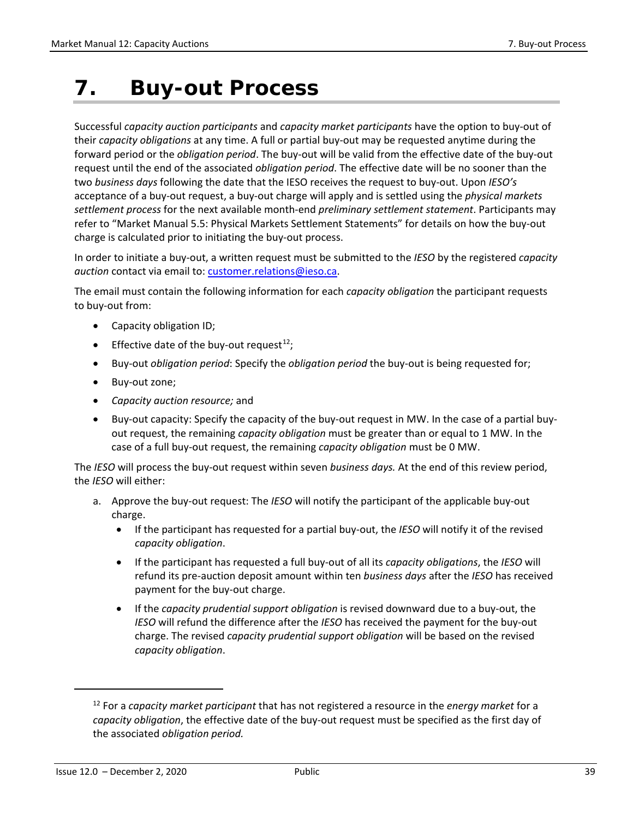## <span id="page-45-0"></span>**7. Buy-out Process**

Successful *capacity auction participants* and *capacity market participants* have the option to buy-out of their *capacity obligations* at any time. A full or partial buy-out may be requested anytime during the forward period or the *obligation period*. The buy-out will be valid from the effective date of the buy-out request until the end of the associated *obligation period*. The effective date will be no sooner than the two *business days* following the date that the IESO receives the request to buy-out. Upon *IESO's* acceptance of a buy-out request, a buy-out charge will apply and is settled using the *physical markets settlement process* for the next available month-end *preliminary settlement statement*. Participants may refer to "Market Manual 5.5: Physical Markets Settlement Statements" for details on how the buy-out charge is calculated prior to initiating the buy-out process.

In order to initiate a buy-out, a written request must be submitted to the *IESO* by the registered *capacity* auction contact via email to: [customer.relations@ieso.ca.](mailto:customer.relations@ieso.ca)

The email must contain the following information for each *capacity obligation* the participant requests to buy-out from:

- Capacity obligation ID;
- Effective date of the buy-out request<sup>12</sup>;
- Buy-out *obligation period*: Specify the *obligation period* the buy-out is being requested for;
- Buy-out zone;
- *Capacity auction resource;* and
- Buy-out capacity: Specify the capacity of the buy-out request in MW. In the case of a partial buyout request, the remaining *capacity obligation* must be greater than or equal to 1 MW. In the case of a full buy-out request, the remaining *capacity obligation* must be 0 MW.

The *IESO* will process the buy-out request within seven *business days.* At the end of this review period, the *IESO* will either:

- a. Approve the buy-out request: The *IESO* will notify the participant of the applicable buy-out charge.
	- If the participant has requested for a partial buy-out, the *IESO* will notify it of the revised *capacity obligation*.
	- If the participant has requested a full buy-out of all its *capacity obligations*, the *IESO* will refund its pre-auction deposit amount within ten *business days* after the *IESO* has received payment for the buy-out charge.
	- If the *capacity prudential support obligation* is revised downward due to a buy-out, the *IESO* will refund the difference after the *IESO* has received the payment for the buy-out charge. The revised *capacity prudential support obligation* will be based on the revised *capacity obligation*.

<span id="page-45-1"></span>l

<sup>12</sup> For a *capacity market participant* that has not registered a resource in the *energy market* for a *capacity obligation*, the effective date of the buy-out request must be specified as the first day of the associated *obligation period.*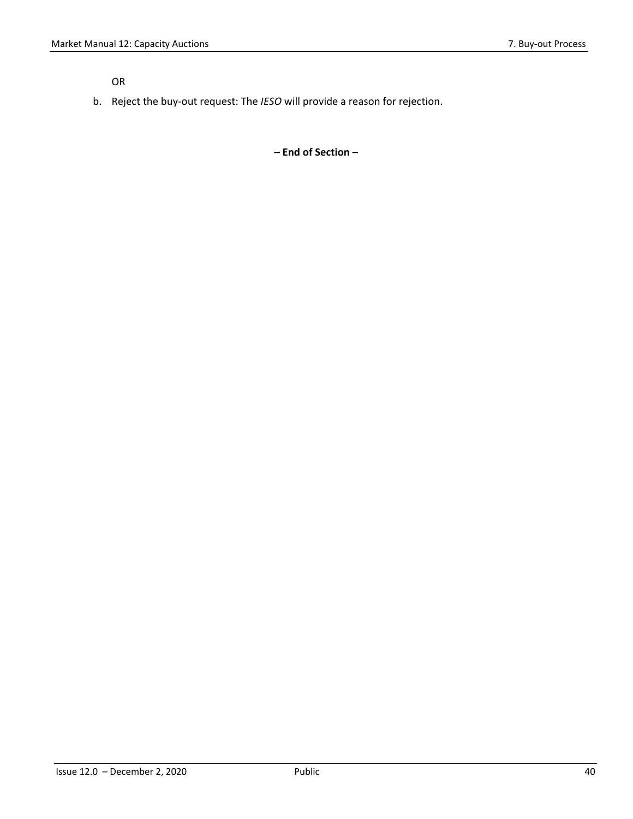OR

b. Reject the buy-out request: The *IESO* will provide a reason for rejection.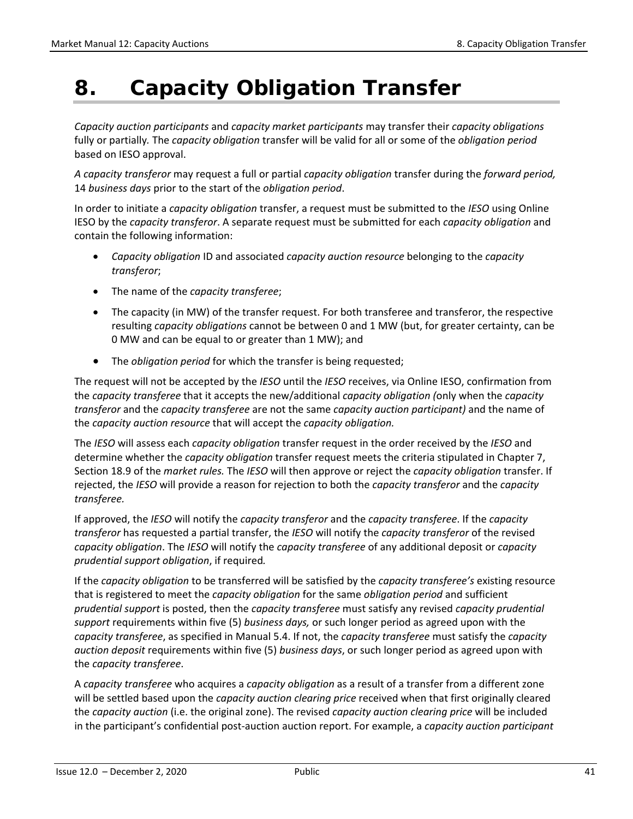## <span id="page-47-0"></span>**8. Capacity Obligation Transfer**

*Capacity auction participants* and *capacity market participants* may transfer their *capacity obligations* fully or partially*.* The *capacity obligation* transfer will be valid for all or some of the *obligation period* based on IESO approval.

*A capacity transferor* may request a full or partial *capacity obligation* transfer during the *forward period,* 14 *business days* prior to the start of the *obligation period*.

In order to initiate a *capacity obligation* transfer, a request must be submitted to the *IESO* using Online IESO by the *capacity transferor*. A separate request must be submitted for each *capacity obligation* and contain the following information:

- *Capacity obligation* ID and associated *capacity auction resource* belonging to the *capacity transferor*;
- The name of the *capacity transferee*;
- The capacity (in MW) of the transfer request. For both transferee and transferor, the respective resulting *capacity obligations* cannot be between 0 and 1 MW (but, for greater certainty, can be 0 MW and can be equal to or greater than 1 MW); and
- The *obligation period* for which the transfer is being requested;

The request will not be accepted by the *IESO* until the *IESO* receives, via Online IESO, confirmation from the *capacity transferee* that it accepts the new/additional *capacity obligation (*only when the *capacity transferor* and the *capacity transferee* are not the same *capacity auction participant)* and the name of the *capacity auction resource* that will accept the *capacity obligation.*

The *IESO* will assess each *capacity obligation* transfer request in the order received by the *IESO* and determine whether the *capacity obligation* transfer request meets the criteria stipulated in Chapter 7, Section 18.9 of the *market rules.* The *IESO* will then approve or reject the *capacity obligation* transfer. If rejected, the *IESO* will provide a reason for rejection to both the *capacity transferor* and the *capacity transferee.* 

If approved, the *IESO* will notify the *capacity transferor* and the *capacity transferee*. If the *capacity transferor* has requested a partial transfer, the *IESO* will notify the *capacity transferor* of the revised *capacity obligation*. The *IESO* will notify the *capacity transferee* of any additional deposit or *capacity prudential support obligation*, if required*.* 

If the *capacity obligation* to be transferred will be satisfied by the *capacity transferee's* existing resource that is registered to meet the *capacity obligation* for the same *obligation period* and sufficient *prudential support* is posted, then the *capacity transferee* must satisfy any revised *capacity prudential support* requirements within five (5) *business days,* or such longer period as agreed upon with the *capacity transferee*, as specified in Manual 5.4. If not, the *capacity transferee* must satisfy the *capacity auction deposit* requirements within five (5) *business days*, or such longer period as agreed upon with the *capacity transferee*.

A *capacity transferee* who acquires a *capacity obligation* as a result of a transfer from a different zone will be settled based upon the *capacity auction clearing price* received when that first originally cleared the *capacity auction* (i.e. the original zone). The revised *capacity auction clearing price* will be included in the participant's confidential post-auction auction report. For example, a *capacity auction participant*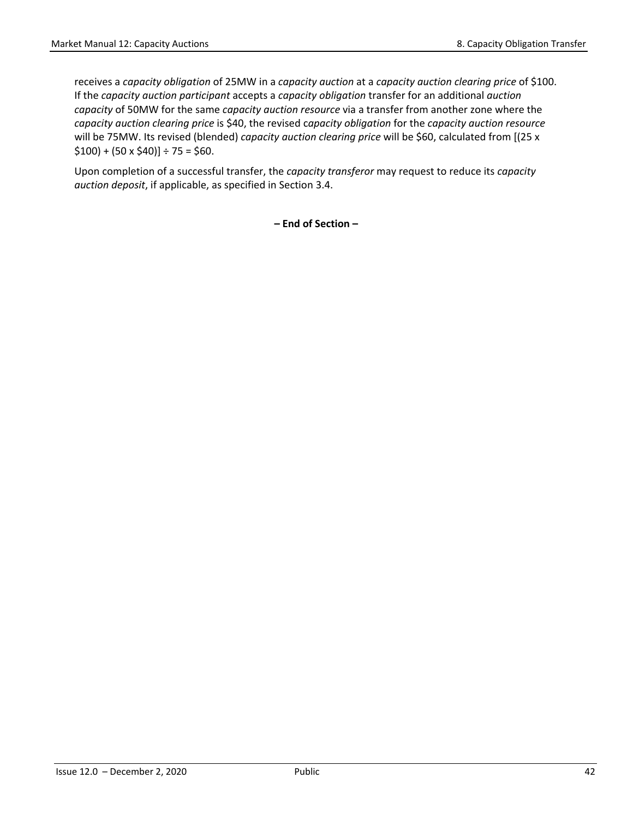receives a *capacity obligation* of 25MW in a *capacity auction* at a *capacity auction clearing price* of \$100. If the *capacity auction participant* accepts a *capacity obligation* transfer for an additional *auction capacity* of 50MW for the same *capacity auction resource* via a transfer from another zone where the *capacity auction clearing price* is \$40, the revised c*apacity obligation* for the *capacity auction resource* will be 75MW. Its revised (blended) *capacity auction clearing price* will be \$60, calculated from [(25 x  $$100$ ) + (50 x \$40)] ÷ 75 = \$60.

Upon completion of a successful transfer, the *capacity transferor* may request to reduce its *capacity auction deposit*, if applicable, as specified in Section 3.4.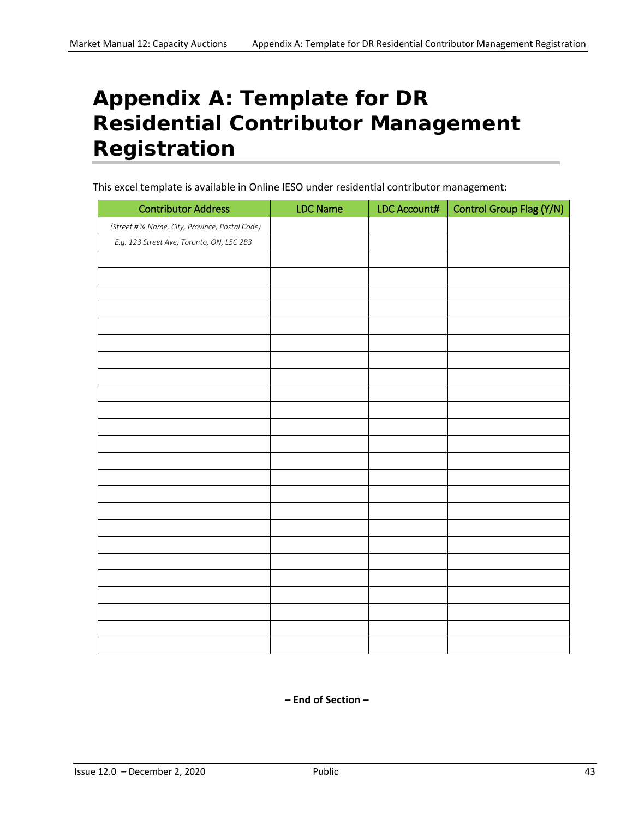## <span id="page-49-0"></span>**Appendix A: Template for DR Residential Contributor Management Registration**

This excel template is available in Online IESO under residential contributor management:

| <b>Contributor Address</b>                     | <b>LDC Name</b> | LDC Account# | Control Group Flag (Y/N) |
|------------------------------------------------|-----------------|--------------|--------------------------|
| (Street # & Name, City, Province, Postal Code) |                 |              |                          |
| E.g. 123 Street Ave, Toronto, ON, L5C 2B3      |                 |              |                          |
|                                                |                 |              |                          |
|                                                |                 |              |                          |
|                                                |                 |              |                          |
|                                                |                 |              |                          |
|                                                |                 |              |                          |
|                                                |                 |              |                          |
|                                                |                 |              |                          |
|                                                |                 |              |                          |
|                                                |                 |              |                          |
|                                                |                 |              |                          |
|                                                |                 |              |                          |
|                                                |                 |              |                          |
|                                                |                 |              |                          |
|                                                |                 |              |                          |
|                                                |                 |              |                          |
|                                                |                 |              |                          |
|                                                |                 |              |                          |
|                                                |                 |              |                          |
|                                                |                 |              |                          |
|                                                |                 |              |                          |
|                                                |                 |              |                          |
|                                                |                 |              |                          |
|                                                |                 |              |                          |
|                                                |                 |              |                          |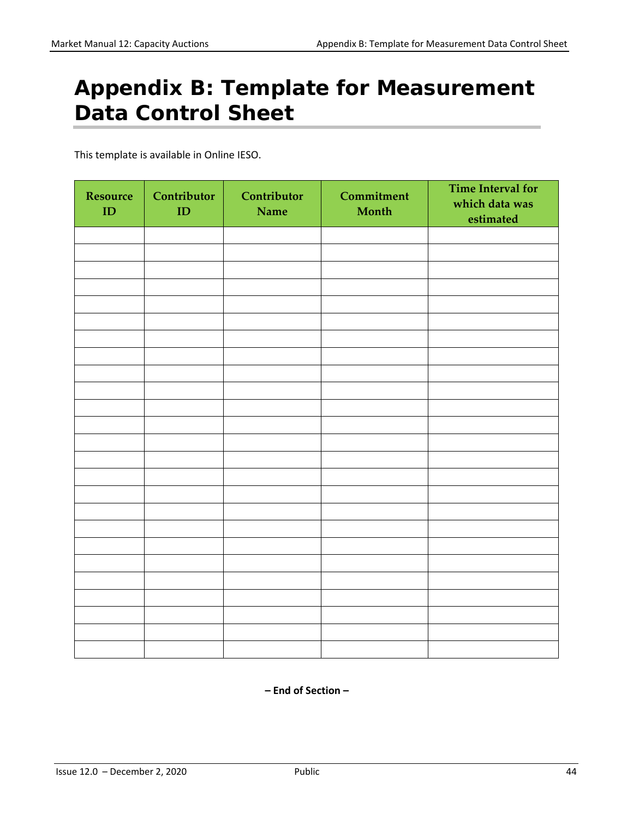## <span id="page-50-0"></span>**Appendix B: Template for Measurement Data Control Sheet**

This template is available in Online IESO.

| <b>Resource</b><br>ID | Contributor<br>ID | Contributor<br>Name | Commitment<br>Month | <b>Time Interval for</b><br>which data was<br>estimated |
|-----------------------|-------------------|---------------------|---------------------|---------------------------------------------------------|
|                       |                   |                     |                     |                                                         |
|                       |                   |                     |                     |                                                         |
|                       |                   |                     |                     |                                                         |
|                       |                   |                     |                     |                                                         |
|                       |                   |                     |                     |                                                         |
|                       |                   |                     |                     |                                                         |
|                       |                   |                     |                     |                                                         |
|                       |                   |                     |                     |                                                         |
|                       |                   |                     |                     |                                                         |
|                       |                   |                     |                     |                                                         |
|                       |                   |                     |                     |                                                         |
|                       |                   |                     |                     |                                                         |
|                       |                   |                     |                     |                                                         |
|                       |                   |                     |                     |                                                         |
|                       |                   |                     |                     |                                                         |
|                       |                   |                     |                     |                                                         |
|                       |                   |                     |                     |                                                         |
|                       |                   |                     |                     |                                                         |
|                       |                   |                     |                     |                                                         |
|                       |                   |                     |                     |                                                         |
|                       |                   |                     |                     |                                                         |
|                       |                   |                     |                     |                                                         |
|                       |                   |                     |                     |                                                         |
|                       |                   |                     |                     |                                                         |
|                       |                   |                     |                     |                                                         |